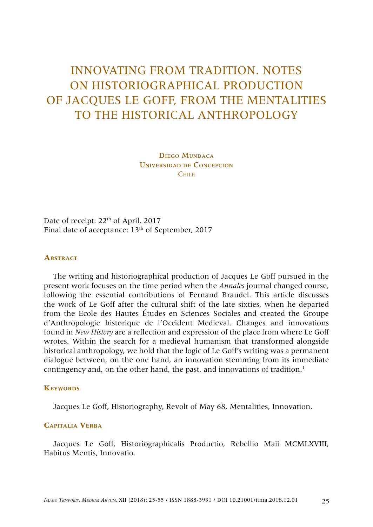# INNOVATING FROM TRADITION. NOTES ON HISTORIOGRAPHICAL PRODUCTION OF JACQUES LE GOFF, FROM THE MENTALITIES TO THE HISTORICAL ANTHROPOLOGY

Diego Mundaca Universidad de Concepción C<sub>HILE</sub>

Date of receipt: 22<sup>th</sup> of April, 2017 Final date of acceptance: 13<sup>th</sup> of September, 2017

#### **ABSTRACT**

The writing and historiographical production of Jacques Le Goff pursued in the present work focuses on the time period when the *Annales* journal changed course, following the essential contributions of Fernand Braudel. This article discusses the work of Le Goff after the cultural shift of the late sixties, when he departed from the Ecole des Hautes Études en Sciences Sociales and created the Groupe d'Anthropologie historique de l'Occident Medieval. Changes and innovations found in *New History* are a reflection and expression of the place from where Le Goff wrotes. Within the search for a medieval humanism that transformed alongside historical anthropology, we hold that the logic of Le Goff's writing was a permanent dialogue between, on the one hand, an innovation stemming from its immediate contingency and, on the other hand, the past, and innovations of tradition.<sup>1</sup>

#### **KEYWORDS**

Jacques Le Goff, Historiography, Revolt of May 68, Mentalities, Innovation.

#### **Capitalia Verba**

Jacques Le Goff, Historiographicalis Productio, Rebellio Maii MCMLXVIII, Habitus Mentis, Innovatio.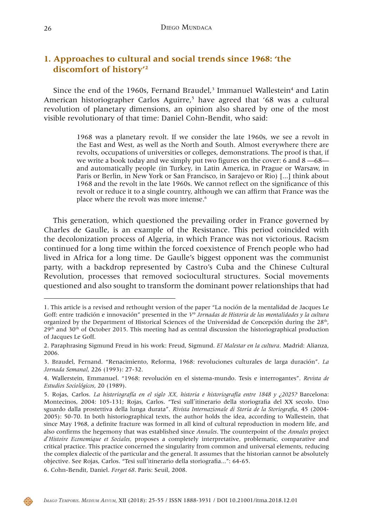# **1. Approaches to cultural and social trends since 1968: 'the discomfort of history'1 2**

Since the end of the 1960s, Fernand Braudel, $3$  Immanuel Wallestein<sup>4</sup> and Latin American historiographer Carlos Aguirre,<sup>5</sup> have agreed that '68 was a cultural revolution of planetary dimensions, an opinion also shared by one of the most visible revolutionary of that time: Daniel Cohn-Bendit, who said:

> 1968 was a planetary revolt. If we consider the late 1960s, we see a revolt in the East and West, as well as the North and South. Almost everywhere there are revolts, occupations of universities or colleges, demonstrations. The proof is that, if we write a book today and we simply put two figures on the cover: 6 and 8 —68 and automatically people (in Turkey, in Latin America, in Prague or Warsaw, in Paris or Berlin, in New York or San Francisco, in Sarajevo or Rio) [...] think about 1968 and the revolt in the late 1960s. We cannot reflect on the significance of this revolt or reduce it to a single country, although we can affirm that France was the place where the revolt was more intense.<sup>6</sup>

This generation, which questioned the prevailing order in France governed by Charles de Gaulle, is an example of the Resistance. This period coincided with the decolonization process of Algeria, in which France was not victorious. Racism continued for a long time within the forced coexistence of French people who had lived in Africa for a long time. De Gaulle's biggest opponent was the communist party, with a backdrop represented by Castro's Cuba and the Chinese Cultural Revolution, processes that removed sociocultural structures. Social movements questioned and also sought to transform the dominant power relationships that had



<sup>1.</sup> This article is a revised and rethought version of the paper "La noción de la mentalidad de Jacques Le Goff: entre tradición e innovación" presented in the *V° Jornadas de Historia de las mentalidades y la cultura* organized by the Department of Historical Sciences of the Universidad de Concepción during the 28<sup>th</sup>,  $29<sup>th</sup>$  and  $30<sup>th</sup>$  of October 2015. This meeting had as central discussion the historiographical production of Jacques Le Goff.

<sup>2.</sup> Paraphrasing Sigmund Freud in his work: Freud, Sigmund. *El Malestar en la cultura*. Madrid: Alianza, 2006.

<sup>3.</sup> Braudel, Fernand. "Renacimiento, Reforma, 1968: revoluciones culturales de larga duración". *La Jornada Semanal*, 226 (1993): 27-32.

<sup>4.</sup> Wallerstein, Emmanuel. "1968: revolución en el sistema-mundo. Tesis e interrogantes". *Revista de Estudios Sociológicos*, 20 (1989).

<sup>5.</sup> Rojas, Carlos. *La historiografía en el siglo XX, historia e historiografía entre 1848 y ¿2025?* Barcelona: Montecinos, 2004: 105-131; Rojas, Carlos. "Tesi sull΄itinerario della storiografia del XX secolo. Uno sguardo dalla prostettiva della lunga durata". *Rivista Internazionale di Storia de la Storiografia*, 45 (2004- 2005): 50-70. In both historiographical texts, the author holds the idea, according to Wallestein, that since May 1968, a definite fracture was formed in all kind of cultural reproduction in modern life, and also confirms the hegemony that was established since *Annales*. The counterpoint of the *Annales* project *d*΄*Histoire Economique et Sociales*, proposes a completely interpretative, problematic, comparative and critical practice. This practice concerned the singularity from common and universal elements, reducing the complex dialectic of the particular and the general. It assumes that the historian cannot be absolutely objective. See Rojas, Carlos. "Tesi sull΄itinerario della storiografia...": 64-65.

<sup>6.</sup> Cohn-Bendit, Daniel. *Forget 68*. Paris: Seuil, 2008.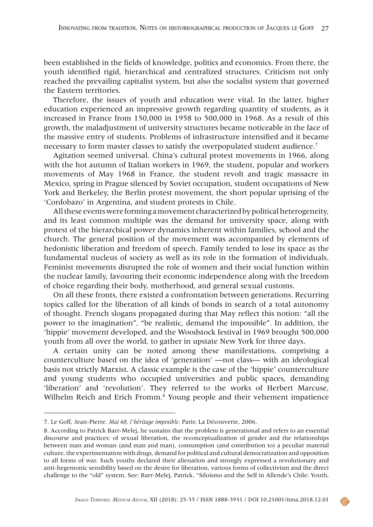been established in the fields of knowledge, politics and economics. From there, the youth identified rigid, hierarchical and centralized structures. Criticism not only reached the prevailing capitalist system, but also the socialist system that governed the Eastern territories.

Therefore, the issues of youth and education were vital. In the latter, higher education experienced an impressive growth regarding quantity of students, as it increased in France from 150,000 in 1958 to 500,000 in 1968. As a result of this growth, the maladjustment of university structures became noticeable in the face of the massive entry of students. Problems of infrastructure intensified and it became necessary to form master classes to satisfy the overpopulated student audience.<sup>7</sup>

Agitation seemed universal. China's cultural protest movements in 1966, along with the hot autumn of Italian workers in 1969, the student, popular and workers movements of May 1968 in France, the student revolt and tragic massacre in Mexico, spring in Prague silenced by Soviet occupation, student occupations of New York and Berkeley, the Berlin protest movement, the short popular uprising of the 'Cordobazo' in Argentina, and student protests in Chile.

All these events were forming a movement characterized by political heterogeneity, and its least common multiple was the demand for university space, along with protest of the hierarchical power dynamics inherent within families, school and the church. The general position of the movement was accompanied by elements of hedonistic liberation and freedom of speech. Family tended to lose its space as the fundamental nucleus of society as well as its role in the formation of individuals. Feminist movements disrupted the role of women and their social function within the nuclear family, favouring their economic independence along with the freedom of choice regarding their body, motherhood, and general sexual customs.

On all these fronts, there existed a confrontation between generations. Recurring topics called for the liberation of all kinds of bonds in search of a total autonomy of thought. French slogans propagated during that May reflect this notion: "all the power to the imagination"*,* "be realistic, demand the impossible"*.* In addition, the 'hippie' movement developed, and the Woodstock festival in 1969 brought 500,000 youth from all over the world, to gather in upstate New York for three days.

A certain unity can be noted among these manifestations, comprising a counterculture based on the idea of 'generation' —not class— with an ideological basis not strictly Marxist. A classic example is the case of the 'hippie' counterculture and young students who occupied universities and public spaces, demanding 'liberation' and 'revolution'. They referred to the works of Herbert Marcuse, Wilhelm Reich and Erich Fromm.8 Young people and their vehement impatience



<sup>7.</sup> Le Goff, Jean-Pierre. *Mai 68, l'héritage imposible*. Paris: La Découverte, 2006.

<sup>8.</sup> According to Patrick Barr-Melej, he sustains that the problem is generational and refers to an essential discourse and practices: of sexual liberation, the reconceptualization of gender and the relationships between man and woman (and man and man), consumption (and contribution to) a peculiar material culture, the experimentation with drugs, demand for political and cultural democratization and opposition to all forms of war. Such youths declared their alienation and strongly expressed a revolutionary and anti-hegemonic sensibility based on the desire for liberation, various forms of collectivism and the direct challenge to the "old" system. See: Barr-Melej, Patrick. "Siloismo and the Self in Allende's Chile: Youth,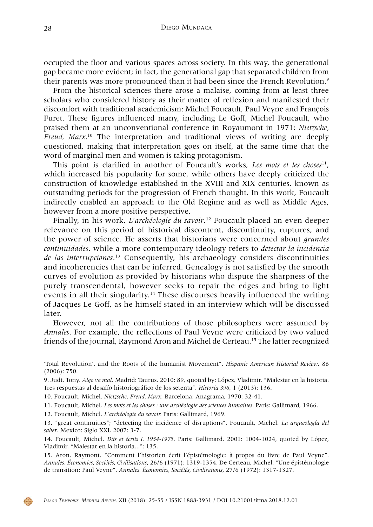occupied the floor and various spaces across society. In this way, the generational gap became more evident; in fact, the generational gap that separated children from their parents was more pronounced than it had been since the French Revolution.<sup>9</sup>

From the historical sciences there arose a malaise, coming from at least three scholars who considered history as their matter of reflexion and manifested their discomfort with traditional academicism: Michel Foucault, Paul Veyne and François Furet. These figures influenced many, including Le Goff, Michel Foucault, who praised them at an unconventional conference in Royaumont in 1971: *Nietzsche, Freud, Marx*. 10 The interpretation and traditional views of writing are deeply questioned, making that interpretation goes on itself, at the same time that the word of marginal men and women is taking protagonism.

This point is clarified in another of Foucault's works, *Les mots et les choses*11, which increased his popularity for some, while others have deeply criticized the construction of knowledge established in the XVIII and XIX centuries, known as outstanding periods for the progression of French thought. In this work, Foucault indirectly enabled an approach to the Old Regime and as well as Middle Ages, however from a more positive perspective.

Finally, in his work, *L'archéologie du savoir*, 12 Foucault placed an even deeper relevance on this period of historical discontent, discontinuity, ruptures, and the power of science. He asserts that historians were concerned about *grandes continuidades*, while a more contemporary ideology refers to *detectar la incidencia de las interrupciones*. 13 Consequently, his archaeology considers discontinuities and incoherencies that can be inferred. Genealogy is not satisfied by the smooth curves of evolution as provided by historians who dispute the sharpness of the purely transcendental, however seeks to repair the edges and bring to light events in all their singularity.14 These discourses heavily influenced the writing of Jacques Le Goff, as he himself stated in an interview which will be discussed later.

However, not all the contributions of those philosophers were assumed by *Annales*. For example, the reflections of Paul Veyne were criticized by two valued friends of the journal, Raymond Aron and Michel de Certeau.15 The latter recognized

12. Foucault, Michel. *L'archéologie du savoir.* Paris: Gallimard, 1969.



<sup>&#</sup>x27;Total Revolution', and the Roots of the humanist Movement". *Hispanic American Historial Review*, 86 (2006): 750.

<sup>9.</sup> Judt, Tony. *Algo va mal*. Madrid: Taurus, 2010: 89, quoted by: López, Vladimir, "Malestar en la historia. Tres respuestas al desafío historiográfico de los setenta". *Historia 396*, 1 (2013): 136.

<sup>10.</sup> Foucault, Michel. *Nietzsche, Freud, Marx*. Barcelona: Anagrama, 1970: 32-41.

<sup>11.</sup> Foucault, Michel. *Les mots et les choses : une archéologie des sciences humaines.* Paris: Gallimard, 1966.

<sup>13. &</sup>quot;great continuities"; "detecting the incidence of disruptions". Foucault, Michel. *La arqueología del saber*. Mexico: Siglo XXI, 2007: 3-7.

<sup>14.</sup> Foucault, Michel. *Dits et écrits I, 1954-1975*. Paris: Gallimard, 2001: 1004-1024, quoted by López, Vladimir. "Malestar en la historia...": 135.

<sup>15.</sup> Aron, Raymont. "Comment l'historien écrit l'épistémologie: à propos du livre de Paul Veyne". *Annales. Économies, Sociétés, Civilisations*, 26/6 (1971): 1319-1354. De Certeau, Michel. "Une épistémologie de transition: Paul Veyne". *Annales. Économies, Sociétés, Civilisations*, 27/6 (1972): 1317-1327.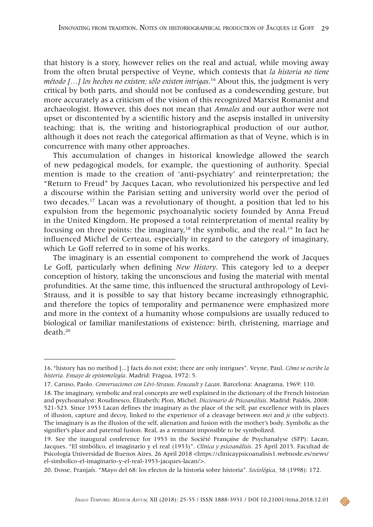that history is a story, however relies on the real and actual, while moving away from the often brutal perspective of Veyne, which contests that *la historia no tiene método […] los hechos no existen; sólo existen intrigas*. 16 About this, the judgment is very critical by both parts, and should not be confused as a condescending gesture, but more accurately as a criticism of the vision of this recognized Marxist Romanist and archaeologist. However, this does not mean that *Annales* and our author were not upset or discontented by a scientific history and the asepsis installed in university teaching; that is, the writing and historiographical production of our author, although it does not reach the categorical affirmation as that of Veyne, which is in concurrence with many other approaches.

This accumulation of changes in historical knowledge allowed the search of new pedagogical models, for example, the questioning of authority. Special mention is made to the creation of 'anti-psychiatry' and reinterpretation; the "Return to Freud" by Jacques Lacan, who revolutionized his perspective and led a discourse within the Parisian setting and university world over the period of two decades.17 Lacan was a revolutionary of thought, a position that led to his expulsion from the hegemonic psychoanalytic society founded by Anna Freud in the United Kingdom. He proposed a total reinterpretation of mental reality by focusing on three points: the imaginary,<sup>18</sup> the symbolic, and the real.<sup>19</sup> In fact he influenced Michel de Certeau, especially in regard to the category of imaginary, which Le Goff referred to in some of his works.

The imaginary is an essential component to comprehend the work of Jacques Le Goff, particularly when defining *New History*. This category led to a deeper conception of history, taking the unconscious and fusing the material with mental profundities. At the same time, this influenced the structural anthropology of Levi-Strauss, and it is possible to say that history became increasingly ethnographic, and therefore the topics of temporality and permanence were emphasized more and more in the context of a humanity whose compulsions are usually reduced to biological or familiar manifestations of existence: birth, christening, marriage and death.20



<sup>16.</sup> "history has no method [...] facts do not exist; there are only intrigues". Veyne, Paul. *Cómo se escribe la historia. Ensayo de epistemología*. Madrid: Fragua, 1972: 5.

<sup>17.</sup> Caruso, Paolo. *Conversaciones con Lévi-Strauss, Foucault y Lacan*. Barcelona: Anagrama, 1969: 110.

<sup>18.</sup> The imaginary, symbolic and real concepts are well explained in the dictionary of the French historian and psychoanalyst: Roudinesco, Élizabeth; Plon, Michel. *Diccionario de Psicoanálisis*. Madrid: Paidós, 2008: 521-523. Since 1953 Lacan defines the imaginary as the place of the self, par excellence with its places of illusion, capture and decoy, linked to the experience of a cleavage between *moi* and *je* (the subject). The imaginary is as the illusion of the self, alienation and fusion with the mother's body. Symbolic as the signifier's place and paternal fusion. Real, as a remnant impossible to be symbolized.

<sup>19.</sup> See the inaugural conference for 1953 in the Société Française de Psychanalyse (SFP): Lacan, Jacques. "El simbólico, el imaginario y el real (1953)". *Clínica y psicoanálisis*. 25 April 2015. Facultad de Psicología Universidad de Buenos Aires. 26 April 2018 [<https://clinicaypsicoanalisis1.webnode.es/news/](https://clinicaypsicoanalisis1.webnode.es/news/el-simbolico-el-imaginario-y-el-real-1953-jacques-lacan/) [el-simbolico-el-imaginario-y-el-real-1953-jacques-lacan/>](https://clinicaypsicoanalisis1.webnode.es/news/el-simbolico-el-imaginario-y-el-real-1953-jacques-lacan/).

<sup>20.</sup> Dosse, Franjaís. "Mayo del 68: los efectos de la historia sobre historia"*. Sociológica,* 38 (1998): 172.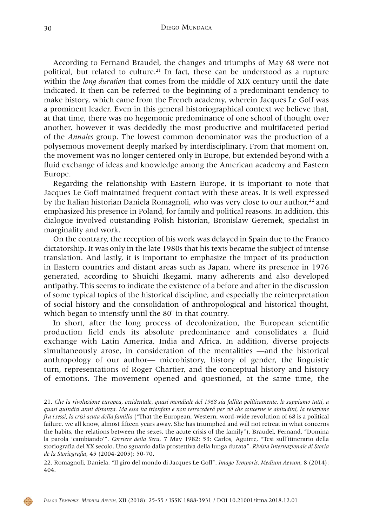According to Fernand Braudel, the changes and triumphs of May 68 were not political, but related to culture.<sup>21</sup> In fact, these can be understood as a rupture within the *long duration* that comes from the middle of XIX century until the date indicated. It then can be referred to the beginning of a predominant tendency to make history, which came from the French academy, wherein Jacques Le Goff was a prominent leader. Even in this general historiographical context we believe that, at that time, there was no hegemonic predominance of one school of thought over another, however it was decidedly the most productive and multifaceted period of the *Annales* group. The lowest common denominator was the production of a polysemous movement deeply marked by interdisciplinary. From that moment on, the movement was no longer centered only in Europe, but extended beyond with a fluid exchange of ideas and knowledge among the American academy and Eastern Europe.

Regarding the relationship with Eastern Europe, it is important to note that Jacques Le Goff maintained frequent contact with these areas. It is well expressed by the Italian historian Daniela Romagnoli, who was very close to our author,<sup>22</sup> and emphasized his presence in Poland, for family and political reasons. In addition, this dialogue involved outstanding Polish historian, Bronislaw Geremek, specialist in marginality and work.

On the contrary, the reception of his work was delayed in Spain due to the Franco dictatorship. It was only in the late 1980s that his texts became the subject of intense translation. And lastly, it is important to emphasize the impact of its production in Eastern countries and distant areas such as Japan, where its presence in 1976 generated, according to Shuichi Ikegami, many adherents and also developed antipathy. This seems to indicate the existence of a before and after in the discussion of some typical topics of the historical discipline, and especially the reinterpretation of social history and the consolidation of anthropological and historical thought, which began to intensify until the 80¨ in that country.

In short, after the long process of decolonization, the European scientific production field ends its absolute predominance and consolidates a fluid exchange with Latin America, India and Africa. In addition, diverse projects simultaneously arose, in consideration of the mentalities —and the historical anthropology of our author— microhistory, history of gender, the linguistic turn, representations of Roger Chartier, and the conceptual history and history of emotions. The movement opened and questioned, at the same time, the



<sup>21.</sup> *Che la rivoluzione europea, occidentale, quasi mondiale del 1968 sia fallita políticamente, lo sappiamo tutti, a quasi quindici anni distanza. Ma essa ha trionfato e non retrocederá per ciò che concerne le abitudini, la relazione fra i sessi, la crisi acuta della familia* ("That the European, Western, word-wide revolution of 68 is a political failure, we all know, almost fifteen years away. She has triumphed and will not retreat in what concerns the habits, the relations between the sexes, the acute crisis of the family"). Braudel, Fernand. "Domina la parola 'cambiando'". *Corriere della Sera*, 7 May 1982: 53; Carlos, Aguirre, "Tesi sull΄itinerario della storiografia del XX secolo. Uno sguardo dalla prostettiva della lunga durata". *Rivista Internazionale di Storia de la Storiografia*, 45 (2004-2005): 50-70.

<sup>22.</sup> Romagnoli, Daniela. "Il giro del mondo di Jacques Le Goff". *Imago Temporis. Medium Aevum*, 8 (2014): 404.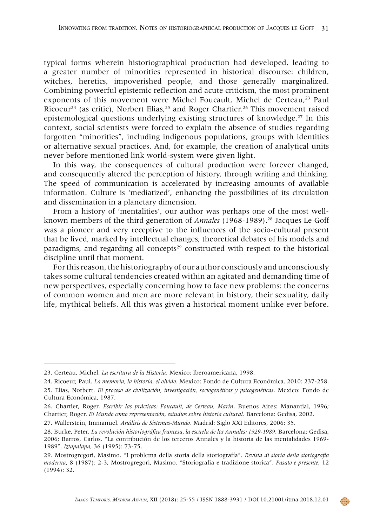typical forms wherein historiographical production had developed, leading to a greater number of minorities represented in historical discourse: children, witches, heretics, impoverished people, and those generally marginalized. Combining powerful epistemic reflection and acute criticism, the most prominent exponents of this movement were Michel Foucault, Michel de Certeau,<sup>23</sup> Paul Ricoeur<sup>24</sup> (as critic), Norbert Elias,<sup>25</sup> and Roger Chartier.<sup>26</sup> This movement raised epistemological questions underlying existing structures of knowledge.<sup>27</sup> In this context, social scientists were forced to explain the absence of studies regarding forgotten "minorities", including indigenous populations, groups with identities or alternative sexual practices. And, for example, the creation of analytical units never before mentioned link world-system were given light.

In this way, the consequences of cultural production were forever changed, and consequently altered the perception of history, through writing and thinking. The speed of communication is accelerated by increasing amounts of available information. Culture is 'mediatized', enhancing the possibilities of its circulation and dissemination in a planetary dimension.

From a history of 'mentalities', our author was perhaps one of the most wellknown members of the third generation of *Annales* (1968-1989).28 Jacques Le Goff was a pioneer and very receptive to the influences of the socio-cultural present that he lived, marked by intellectual changes, theoretical debates of his models and paradigms, and regarding all concepts<sup>29</sup> constructed with respect to the historical discipline until that moment.

For this reason, the historiography of our author consciously and unconsciously takes some cultural tendencies created within an agitated and demanding time of new perspectives, especially concerning how to face new problems: the concerns of common women and men are more relevant in history, their sexuality, daily life, mythical beliefs. All this was given a historical moment unlike ever before.

<sup>23.</sup> Certeau, Michel. *La escritura de la Historia*. Mexico: Iberoamericana, 1998.

<sup>24.</sup> Ricoeur, Paul. *La memoria, la historia, el olvido*. Mexico: Fondo de Cultura Económica, 2010: 237-258. 25. Elias, Norbert. *El proceso de civilización, investigación, sociogenéticas y psicogenéticas*. Mexico: Fondo de Cultura Económica, 1987.

<sup>26.</sup> Chartier, Roger. *Escribir las prácticas: Foucault, de Certeau, Marin*. Buenos Aires: Manantial, 1996; Chartier, Roger. *El Mundo como representación, estudios sobre historia cultural*. Barcelona: Gedisa, 2002.

<sup>27.</sup> Wallerstein, Immanuel. *Análisis de Sistemas-Mundo*. Madrid: Siglo XXI Editores, 2006: 35.

<sup>28.</sup> Burke, Peter. *La revolución historiográfica francesa, la escuela de los Annales: 1929-1989*. Barcelona: Gedisa, 2006; Barros, Carlos. "La contribución de los terceros Annales y la historia de las mentalidades 1969- 1989". *Iztapalapa*, 36 (1995): 73-75.

<sup>29.</sup> Mostrogregori, Masimo. "I problema della storia della storiografía". *Revista di storia della storiografia moderna*, 8 (1987): 2-3; Mostrogregori, Masimo. "Storiografia e tradizione storica". *Pasato e presente*, 12 (1994): 32.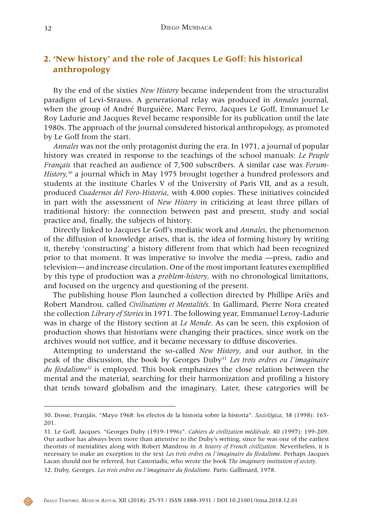# **2. 'New history' and the role of Jacques Le Goff: his historical anthropology**

By the end of the sixties *New History* became independent from the structuralist paradigm of Levi-Strauss. A generational relay was produced in *Annales* journal, when the group of André Burguière, Marc Ferro, Jacques Le Goff, Emmanuel Le Roy Ladurie and Jacques Revel became responsible for its publication until the late 1980s. The approach of the journal considered historical anthropology, as promoted by Le Goff from the start.

*Annales* was not the only protagonist during the era. In 1971, a journal of popular history was created in response to the teachings of the school manuals: *Le Peuple Français* that reached an audience of 7,500 subscribers. A similar case was *Forum-History,30* a journal which in May 1975 brought together a hundred professors and students at the institute Charles V of the University of Paris VII, and as a result, produced *Cuadernos del Foro-Historia*, with 4,000 copies. These initiatives coincided in part with the assessment of *New History* in criticizing at least three pillars of traditional history: the connection between past and present, study and social practice and, finally, the subjects of history.

Directly linked to Jacques Le Goff's mediatic work and *Annales*, the phenomenon of the diffusion of knowledge arises, that is, the idea of forming history by writing it, thereby 'constructing' a history different from that which had been recognized prior to that moment. It was imperative to involve the media —press, radio and television— and increase circulation. One of the most important features exemplified by this type of production was a *problem-history*, with no chronological limitations, and focused on the urgency and questioning of the present.

The publishing house Plon launched a collection directed by Phillipe Ariès and Robert Mandrou, called *Civilisations et Mentalités.* In Gallimard, Pierre Nora created the collection *Library of Stories* in 1971*.* The following year, Emmanuel Leroy-Ladurie was in charge of the History section at *Le Monde*. As can be seen, this explosion of production shows that historians were changing their practices, since work on the archives would not suffice, and it became necessary to diffuse discoveries.

Attempting to understand the so-called *New History*, and our author, in the peak of the discussion, the book by Georges Duby31 *Les trois ordres ou l'imaginaire du féodalisme32* is employed. This book emphasizes the close relation between the mental and the material, searching for their harmonization and profiling a history that tends toward globalism and the imaginary. Later, these categories will be



<sup>30.</sup> Dosse, Franjáis. "Mayo 1968: los efectos de la historia sobre la historia". *Sociológica*, 38 (1998): 165- 201.

<sup>31.</sup> Le Goff, Jacques. "Georges Duby (1919-1996)". *Cahiers de civilization médiévale*, 40 (1997): 199-209. Our author has always been more than attentive to the Duby's writing, since he was one of the earliest theorists of mentalities along with Robert Mandrou in *A history of French civilization*. Nevertheless, it is necessary to make an exception in the text *Les trois ordres ou l'imaginaire du féodalisme*. Perhaps Jacques Lacan should not be referred, but Castoriadis, who wrote the book *The imaginary institution of society*.

<sup>32.</sup> Duby, Georges. *Les trois ordres ou l'imaginaire du féodalisme*. Paris: Gallimard, 1978.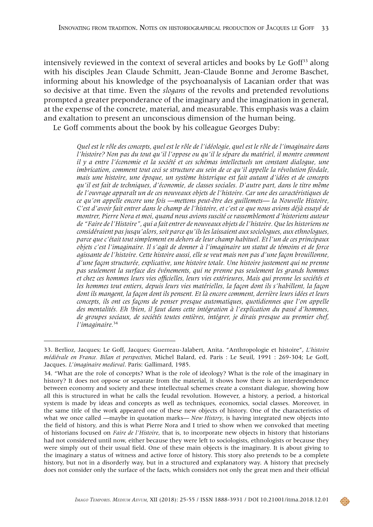intensively reviewed in the context of several articles and books by Le Goff $33$  along with his disciples Jean Claude Schmitt, Jean-Claude Bonne and Jerome Baschet, informing about his knowledge of the psychoanalysis of Lacanian order that was so decisive at that time. Even the *slogans* of the revolts and pretended revolutions prompted a greater preponderance of the imaginary and the imagination in general, at the expense of the concrete, material, and measurable. This emphasis was a claim and exaltation to present an unconscious dimension of the human being.

Le Goff comments about the book by his colleague Georges Duby:

*Quel est le rôle des concepts, quel est le rôle de l'idéologie, quel est le rôle de l'imaginaire dans l'histoire? Non pas du tout qu'il l'oppose ou qu'il le sépare du matériel, il montre comment il y a entre l'économie et la société et ces schémas intellectuels un constant dialogue, une imbrication, comment tout ceci se structure au sein de ce qu'il appelle la révolution féodale, mais une histoire, une époque, un système historique est fait autant d'idées et de concepts qu'il est fait de techniques, d'économie, de classes sociales. D'autre part, dans le titre même de l'ouvrage apparaît un de ces nouveaux objets de l'histoire. Car une des caractéristiques de ce qu'on appelle encore une fois —mettons peut-être des guillemets— la Nouvelle Histoire, C'est d'avoir fait entrer dans le champ de l'histoire, et c'est ce que nous avions déjà essayé de montrer, Pierre Nora et moi, quand nous avions suscité ce rassemblement d'historiens autour de "Faire de l'Histoire", qui a fait entrer de nouveaux objets de l'histoire. Que les historiens ne considéraient pas jusqu'alors, soit parce qu'ils les laissaient aux sociologues, aux ethnologues, parce que c'était tout simplement en dehors de leur champ habituel. Et l'un de ces principaux objets c'est l'imaginaire. Il s'agit de donner à l'imaginaire un statut de témoins et de force agissante de l'histoire. Cette histoire aussi, elle se veut mais non pas d'une façon brouillonne, d'une façon structurée, explicative, une histoire totale. Une histoire justement qui ne prenne pas seulement la surface des événements, qui ne prenne pas seulement les grands hommes et chez ces hommes leurs vies officielles, leurs vies extérieures, Mais qui prenne les sociétés et les hommes tout entiers, depuis leurs vies matérielles, la façon dont ils s'habillent, la façon dont ils mangent, la façon dont ils pensent. Et là encore comment, derrière leurs idées et leurs concepts, ils ont ces façons de penser presque automatiques, quotidiennes que l'on appelle des mentalités. Eh !bien, il faut dans cette intégration à l'explication du passé d'hommes, de groupes sociaux, de sociétés toutes entières, intégrer, je dirais presque au premier chef, l'imaginaire.*<sup>34</sup>



<sup>33.</sup> Berlioz, Jacques; Le Goff, Jacques; Guerreau-Jalabert, Anita. "Anthropologie et histoire", *L'histoire médiévale en France. Bilan et perspectives,* Michel Balard, ed. Paris : Le Seuil, 1991 : 269-304; Le Goff, Jacques. *L*'*imaginaire medieval*. Paris: Gallimard, 1985.

<sup>34. &</sup>quot;What are the role of concepts? What is the role of ideology? What is the role of the imaginary in history? It does not oppose or separate from the material, it shows how there is an interdependence between economy and society and these intellectual schemes create a constant dialogue, showing how all this is structured in what he calls the feudal revolution. However, a history, a period, a historical system is made by ideas and concepts as well as techniques, economics, social classes. Moreover, in the same title of the work appeared one of these new objects of history. One of the characteristics of what we once called —maybe in quotation marks— *New History*, is having integrated new objects into the field of history, and this is what Pierre Nora and I tried to show when we convoked that meeting of historians focused on *Faire de l'Histoire*, that is, to incorporate new objects in history that historians had not considered until now, either because they were left to sociologists, ethnologists or because they were simply out of their usual field. One of these main objects is the imaginary. It is about giving to the imaginary a status of witness and active force of history. This story also pretends to be a complete history, but not in a disorderly way, but in a structured and explanatory way. A history that precisely does not consider only the surface of the facts, which considers not only the great men and their official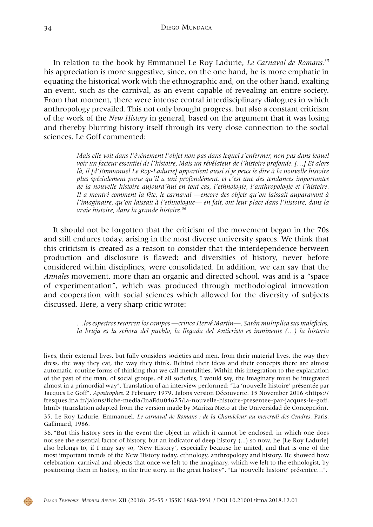In relation to the book by Emmanuel Le Roy Ladurie, *Le Carnaval de Romans,35* his appreciation is more suggestive, since, on the one hand, he is more emphatic in equating the historical work with the ethnographic and, on the other hand, exalting an event, such as the carnival, as an event capable of revealing an entire society. From that moment, there were intense central interdisciplinary dialogues in which anthropology prevailed. This not only brought progress, but also a constant criticism of the work of the *New History* in general, based on the argument that it was losing and thereby blurring history itself through its very close connection to the social sciences. Le Goff commented:

> *Mais elle voit dans l'événement l'objet non pas dans lequel s'enfermer, non pas dans lequel voir un facteur essentiel de l'histoire, Mais un révélateur de l'histoire profonde. […] Et alors là, il [d'Emmanuel Le Roy-Ladurie] appartient aussi si je peux le dire à la nouvelle histoire plus spécialement parce qu'il a uni profondément, et c'est une des tendances importantes de la nouvelle histoire aujourd'hui en tout cas, l'ethnologie, l'anthropologie et l'histoire. Il a montré comment la fête, le carnaval —encore des objets qu'on laissait auparavant à l'imaginaire, qu'on laissait à l'ethnologue— en fait, ont leur place dans l'histoire, dans la vraie histoire, dans la grande histoire.*<sup>36</sup>

It should not be forgotten that the criticism of the movement began in the 70s and still endures today, arising in the most diverse university spaces. We think that this criticism is created as a reason to consider that the interdependence between production and disclosure is flawed; and diversities of history, never before considered within disciplines, were consolidated. In addition, we can say that the *Annales* movement, more than an organic and directed school, was and is a "space of experimentation", which was produced through methodological innovation and cooperation with social sciences which allowed for the diversity of subjects discussed. Here, a very sharp critic wrote:

> *…los espectros recorren los campos —critica Hervé Martin—, Satán multiplica sus maleficios, la bruja es la señora del pueblo, la llegada del Anticristo es inminente (…) la historia*



lives, their external lives, but fully considers societies and men, from their material lives, the way they dress, the way they eat, the way they think. Behind their ideas and their concepts there are almost automatic, routine forms of thinking that we call mentalities. Within this integration to the explanation of the past of the man, of social groups, of all societies, I would say, the imaginary must be integrated almost in a primordial way". Translation of an interview performed: "La 'nouvelle histoire' présentée par Jacques Le Goff". *Apostrophes.* 2 February 1979. Jalons version Découverte. 15 November 2016 <https:// fresques.ina.fr/jalons/fiche-media/InaEdu04625/la-nouvelle-histoire-presentee-par-jacques-le-goff. html> (translation adapted from the version made by Maritza Nieto at the Universidad de Concepción).

<sup>35.</sup> Le Roy Ladurie, Emmanuel. *Le carnaval de Romans : de la Chandeleur au mercredi des Cendres.* Paris: Gallimard, 1986.

<sup>36.</sup> "But this history sees in the event the object in which it cannot be enclosed, in which one does not see the essential factor of history, but an indicator of deep history (...) so now, he [Le Roy Ladurie] also belongs to, if I may say so, 'New History*'*, especially because he united, and that is one of the most important trends of the New History today, ethnology, anthropology and history. He showed how celebration, carnival and objects that once we left to the imaginary, which we left to the ethnologist, by positioning them in history, in the true story, in the great history". "La 'nouvelle histoire' présentée…".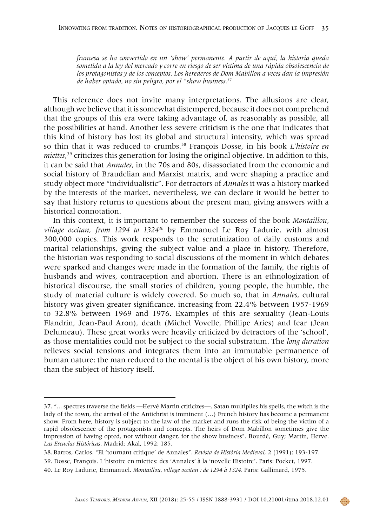*francesa se ha convertido en un 'show' permanente. A partir de aquí, la historia queda sometida a la ley del mercado y corre en riesgo de ser víctima de una rápida obsolescencia de los protagonistas y de los conceptos. Los herederos de Dom Mabillon a veces dan la impresión de haber optado, no sin peligro, por el "show business.*<sup>37</sup>

This reference does not invite many interpretations. The allusions are clear, although we believe that it is somewhat distempered, because it does not comprehend that the groups of this era were taking advantage of, as reasonably as possible, all the possibilities at hand. Another less severe criticism is the one that indicates that this kind of history has lost its global and structural intensity, which was spread so thin that it was reduced to crumbs.38 François Dosse, in his book *L'histoire en miettes*, 39 criticizes this generation for losing the original objective. In addition to this, it can be said that *Annales*, in the 70s and 80s, disassociated from the economic and social history of Braudelian and Marxist matrix, and were shaping a practice and study object more "individualistic". For detractors of *Annales* it was a history marked by the interests of the market, nevertheless, we can declare it would be better to say that history returns to questions about the present man, giving answers with a historical connotation.

In this context, it is important to remember the success of the book *Montaillou, village occitan*, *from 1294 to 132440* by Emmanuel Le Roy Ladurie, with almost 300,000 copies. This work responds to the scrutinization of daily customs and marital relationships, giving the subject value and a place in history. Therefore, the historian was responding to social discussions of the moment in which debates were sparked and changes were made in the formation of the family, the rights of husbands and wives, contraception and abortion. There is an ethnologization of historical discourse, the small stories of children, young people, the humble, the study of material culture is widely covered. So much so, that in *Annales*, cultural history was given greater significance, increasing from 22.4% between 1957-1969 to 32.8% between 1969 and 1976. Examples of this are sexuality (Jean-Louis Flandrin, Jean-Paul Aron), death (Michel Vovelle, Phillipe Aries) and fear (Jean Delumeau). These great works were heavily criticized by detractors of the 'school', as those mentalities could not be subject to the social substratum. The *long duration* relieves social tensions and integrates them into an immutable permanence of human nature; the man reduced to the mental is the object of his own history, more than the subject of history itself.

<sup>37. &</sup>quot;... spectres traverse the fields —Hervé Martin criticizes—, Satan multiplies his spells, the witch is the lady of the town, the arrival of the Antichrist is imminent (…) French history has become a permanent show. From here, history is subject to the law of the market and runs the risk of being the victim of a rapid obsolescence of the protagonists and concepts. The heirs of Dom Mabillon sometimes give the impression of having opted, not without danger, for the show business". Bourdé, Guy; Martin, Herve. *Las Escuelas Históricas*. Madrid: Akal, 1992: 185.

<sup>38.</sup>Barros, Carlos. "El 'tournant critique' de Annales". *Revista de Història Medieval*, 2 (1991): 193-197.

<sup>39.</sup> Dosse, François. L'histoire en miettes: des 'Annales' à la 'novelle Histoire'. Paris: Pocket, 1997.

<sup>40.</sup> Le Roy Ladurie, Emmanuel. *Montaillou, village occitan : de 1294 à 1324.* Paris: Gallimard, 1975.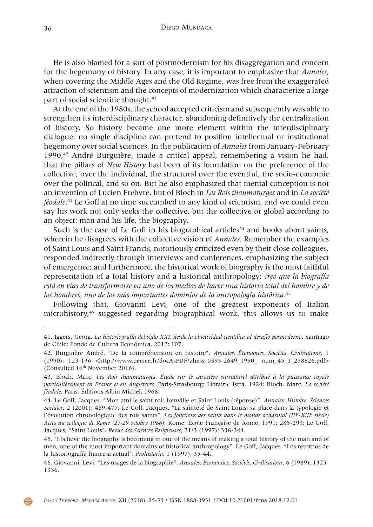He is also blamed for a sort of postmodernism for his disaggregation and concern for the hegemony of history. In any case, it is important to emphasize that *Annales,* when covering the Middle Ages and the Old Regime, was free from the exaggerated attraction of scientism and the concepts of modernization which characterize a large part of social scientific thought.<sup>41</sup>

At the end of the 1980s, the school accepted criticism and subsequently was able to strengthen its interdisciplinary character, abandoning definitively the centralization of history. So history became one more element within the interdisciplinary dialogue: no single discipline can pretend to position intellectual or institutional hegemony over social sciences. In the publication of *Annales* from January-February  $1990<sup>42</sup>$  André Burguière, made a critical appeal, remembering a vision he had, that the pillars of *New History* had been of its foundation on the preference of the collective, over the individual, the structural over the eventful, the socio-economic over the political, and so on. But he also emphasized that mental conception is not an invention of Lucien Frebvre, but of Bloch in *Les Rois thaumaturges* and in *La société féodale*. 43 Le Goff at no time succumbed to any kind of scientism, and we could even say his work not only seeks the collective, but the collective or global according to an object: man and his life, the biography.

Such is the case of Le Goff in his biographical articles<sup>44</sup> and books about saints, wherein he disagrees with the collective vision of *Annales*. Remember the examples of Saint Louis and Saint Francis, notoriously criticized even by their close colleagues, responded indirectly through interviews and conferences, emphasizing the subject of emergence; and furthermore, the historical work of biography is the most faithful representation of a total history and a historical anthropology: *creo que la biografía está en vías de transformarse en uno de los medios de hacer una historia total del hombre y de los hombres, uno de los más importantes dominios de la antropología histórica.*<sup>45</sup>

Following that, Giovanni Levi, one of the greatest exponents of Italian microhistory,46 suggested regarding biographical work, this allows us to make



<sup>41.</sup> Iggers, Georg. *La historiografía del siglo XXI, desde la objetividad científica al desafío posmoderno*. Santiago de Chile: Fondo de Cultura Económica, 2012: 107.

<sup>42.</sup> Burguière André. "De la compréhension en histoire". *Annales. Économies, Sociétés, Civilisations*, 1 (1990): 123-136 <http://www.persee.fr/docAsPDF/ahess\_0395-2649\_1990\_ num\_45\_1\_278826.pdf> (Consulted 16<sup>th</sup> November 2016).

<sup>43.</sup> Bloch, Marc. *Les Rois thaumaturges. Étude sur le caractère surnaturel attribué à la puissance royale particulièrement en France et en Angleterre.* Paris-Strasbourg: Librairie Istra, 1924; Bloch, Marc. *La société féodale*, Paris: Éditions Albin Michel, 1968.

<sup>44.</sup> Le Goff, Jacques. "Mon ami le saint roi: Joinville et Saint Louis (réponse)". *Annales. Histoire, Sciences Sociales*, 2 (2001): 469-477; Le Goff, Jacques. "La sainteté de Saint Louis: sa place dans la typologie et l'évolution chronologique des rois saints". Les fonctions des saints dans le monde occidental (III<sup>e</sup>-XIII<sup>e</sup> siècle) *Actes du colloque de Rome (27-29 octobre 1988)*. Rome: École Française de Rome, 1991: 285-293; Le Goff, Jacques, "Saint Louis". *Revue des Sciences Religieuses*, 71/3 (1997): 338-344.

<sup>45. &</sup>quot;I believe the biography is becoming in one of the means of making a total history of the man and of men, one of the most important domains of historical anthropology". Le Goff, Jacques. "Los retornos de la historiografía francesa actual". *Prohistoria*, 1 (1997): 35-44.

<sup>46.</sup> Giovanni, Levi. "Les usages de la biographie". *Annales. Économies, Sociétés, Civilisations*, 6 (1989): 1325- 1336.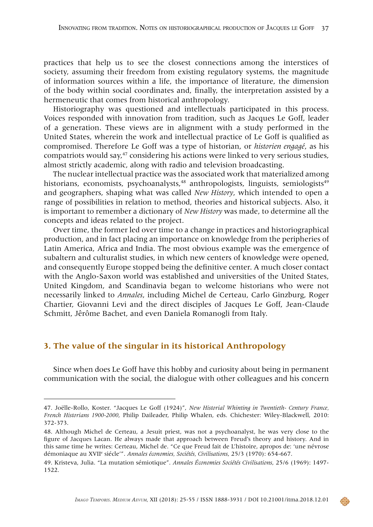practices that help us to see the closest connections among the interstices of society, assuming their freedom from existing regulatory systems, the magnitude of information sources within a life, the importance of literature, the dimension of the body within social coordinates and, finally, the interpretation assisted by a hermeneutic that comes from historical anthropology.

Historiography was questioned and intellectuals participated in this process. Voices responded with innovation from tradition, such as Jacques Le Goff, leader of a generation. These views are in alignment with a study performed in the United States, wherein the work and intellectual practice of Le Goff is qualified as compromised. Therefore Le Goff was a type of historian, or *historien engagé*, as his compatriots would say,47 considering his actions were linked to very serious studies, almost strictly academic, along with radio and television broadcasting.

The nuclear intellectual practice was the associated work that materialized among historians, economists, psychoanalysts,<sup>48</sup> anthropologists, linguists, semiologists<sup>49</sup> and geographers, shaping what was called *New History*, which intended to open a range of possibilities in relation to method, theories and historical subjects. Also, it is important to remember a dictionary of *New History* was made, to determine all the concepts and ideas related to the project.

Over time, the former led over time to a change in practices and historiographical production, and in fact placing an importance on knowledge from the peripheries of Latin America, Africa and India. The most obvious example was the emergence of subaltern and culturalist studies, in which new centers of knowledge were opened, and consequently Europe stopped being the definitive center. A much closer contact with the Anglo-Saxon world was established and universities of the United States, United Kingdom, and Scandinavia began to welcome historians who were not necessarily linked to *Annales*, including Michel de Certeau, Carlo Ginzburg, Roger Chartier, Giovanni Levi and the direct disciples of Jacques Le Goff, Jean-Claude Schmitt, Jêrôme Bachet, and even Daniela Romanogli from Italy.

## **3. The value of the singular in its historical Anthropology**

Since when does Le Goff have this hobby and curiosity about being in permanent communication with the social, the dialogue with other colleagues and his concern



<sup>47.</sup> Joëlle-Rollo, Koster. "Jacques Le Goff (1924)", *New Historial Whinting in Twentieth- Century France, French Historians 1900-2000*, Philip Daileader, Philip Whalen, eds. Chichester: Wiley-Blackwell, 2010: 372-373.

<sup>48.</sup> Although Michel de Certeau, a Jesuit priest, was not a psychoanalyst, he was very close to the figure of Jacques Lacan. He always made that approach between Freud's theory and history. And in this same time he writes: Certeau, Michel de. "Ce que Freud fait de L'histoire, apropos de: 'une névrose démoniaque au XVIIe siécle'". *Annales économies, Sociétés, Civilisations*, 25/3 (1970): 654-667.

<sup>49.</sup> Kristeva, Julia. "La mutation sémiotique". *Annales Économies Sociétés Civilisations*, 25/6 (1969): 1497- 1522.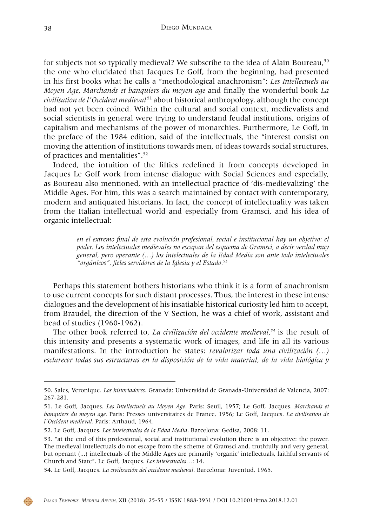for subjects not so typically medieval? We subscribe to the idea of Alain Boureau,<sup>50</sup> the one who elucidated that Jacques Le Goff, from the beginning, had presented in his first books what he calls a "methodological anachronism": *Les Intellectuels au Moyen Age, Marchands et banquiers du moyen age* and finally the wonderful book *La civilisation de l'Occident medieval*<sup>51</sup> about historical anthropology, although the concept had not yet been coined. Within the cultural and social context, medievalists and social scientists in general were trying to understand feudal institutions, origins of capitalism and mechanisms of the power of monarchies. Furthermore, Le Goff, in the preface of the 1984 edition, said of the intellectuals, the "interest consist on moving the attention of institutions towards men, of ideas towards social structures, of practices and mentalities".52

Indeed, the intuition of the fifties redefined it from concepts developed in Jacques Le Goff work from intense dialogue with Social Sciences and especially, as Boureau also mentioned, with an intellectual practice of 'dis-medievalizing' the Middle Ages. For him, this was a search maintained by contact with contemporary, modern and antiquated historians. In fact, the concept of intellectuality was taken from the Italian intellectual world and especially from Gramsci, and his idea of organic intellectual:

> *en el extremo final de esta evolución profesional, social e institucional hay un objetivo: el poder. Los intelectuales medievales no escapan del esquema de Gramsci, a decir verdad muy general, pero operante (…) los intelectuales de la Edad Media son ante todo intelectuales "orgánicos", fieles servidores de la Iglesia y el Estado.*<sup>53</sup>

Perhaps this statement bothers historians who think it is a form of anachronism to use current concepts for such distant processes. Thus, the interest in these intense dialogues and the development of his insatiable historical curiosity led him to accept, from Braudel, the direction of the V Section, he was a chief of work, assistant and head of studies (1960-1962).

The other book referred to, *La civilización del occidente medieval,54* is the result of this intensity and presents a systematic work of images, and life in all its various manifestations. In the introduction he states: *revalorizar toda una civilización (…) esclarecer todas sus estructuras en la disposición de la vida material, de la vida biológica y* 



<sup>50.</sup> Sales, Veronique. *Los historiadores*. Granada: Universidad de Granada-Universidad de Valencia, 2007: 267-281.

<sup>51.</sup> Le Goff, Jacques. *Les Intellectuels au Moyen Age*. Paris: Seuil, 1957; Le Goff, Jacques. *Marchands et banquiers du moyen age.* Paris: Presses universitaires de France, 1956; Le Goff, Jacques. *La civilisation de l'Occident medieval*. Paris: Arthaud, 1964.

<sup>52.</sup> Le Goff, Jacques. *Los intelectuales de la Edad Media*. Barcelona: Gedisa, 2008: 11.

<sup>53. &</sup>quot;at the end of this professional, social and institutional evolution there is an objective: the power. The medieval intellectuals do not escape from the scheme of Gramsci and, truthfully and very general, but operant (...) intellectuals of the Middle Ages are primarily 'organic' intellectuals, faithful servants of Church and State". Le Goff, Jacques. *Los intelectuales…*: 14.

<sup>54.</sup> Le Goff, Jacques. *La civilización del occidente medieval*. Barcelona: Juventud, 1965.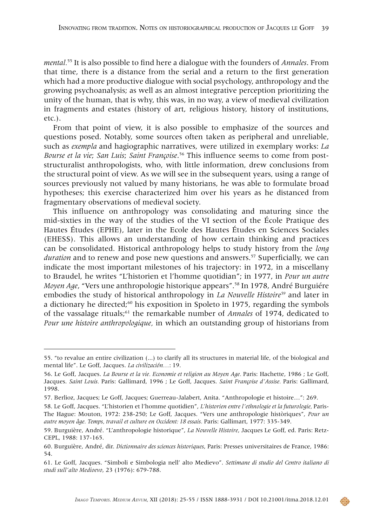*mental.*55 It is also possible to find here a dialogue with the founders of *Annales*. From that time, there is a distance from the serial and a return to the first generation which had a more productive dialogue with social psychology, anthropology and the growing psychoanalysis; as well as an almost integrative perception prioritizing the unity of the human, that is why, this was, in no way, a view of medieval civilization in fragments and estates (history of art, religious history, history of institutions, etc.).

From that point of view, it is also possible to emphasize of the sources and questions posed. Notably, some sources often taken as peripheral and unreliable, such as *exempla* and hagiographic narratives, were utilized in exemplary works: *La Bourse et la vie*; *San Luis*; *Saint Françoise*. 56 This influence seems to come from poststructuralist anthropologists, who, with little information, drew conclusions from the structural point of view. As we will see in the subsequent years, using a range of sources previously not valued by many historians, he was able to formulate broad hypotheses; this exercise characterized him over his years as he distanced from fragmentary observations of medieval society.

This influence on anthropology was consolidating and maturing since the mid-sixties in the way of the studies of the VI section of the École Pratique des Hautes Études (EPHE), later in the Ecole des Hautes Études en Sciences Sociales (EHESS). This allows an understanding of how certain thinking and practices can be consolidated. Historical anthropology helps to study history from the *long duration* and to renew and pose new questions and answers.57 Superficially, we can indicate the most important milestones of his trajectory: in 1972, in a miscellany to Braudel, he writes "L'historien et l'homme quotidian"; in 1977, in *Pour un autre Moyen Age*, "Vers une anthropologie historique appears".58 In 1978, André Burguiére embodies the study of historical anthropology in *La Nouvelle Histoire<sup>59</sup>* and later in a dictionary he directed;<sup>60</sup> his exposition in Spoleto in 1975, regarding the symbols of the vassalage rituals;61 the remarkable number of *Annales* of 1974, dedicated to *Pour une histoire anthropologique,* in which an outstanding group of historians from

<sup>55. &</sup>quot;to revalue an entire civilization (...) to clarify all its structures in material life, of the biological and mental life". Le Goff, Jacques. *La civilización…*: 19.

<sup>56.</sup> Le Goff, Jacques. *La Bourse et la vie. Economie et religion au Moyen Age.* Paris: Hachette, 1986 ; Le Goff, Jacques. *Saint Louis.* Paris: Gallimard, 1996 ; Le Goff, Jacques. *Saint Françoise d'Assise.* Paris: Gallimard, 1998.

<sup>57.</sup> Berlioz, Jacques; Le Goff, Jacques; Guerreau-Jalabert, Anita. "Anthropologie et histoire…": 269.

<sup>58.</sup> Le Goff, Jacques. "L'historien et l'homme quotidien", *L'historien entre l'ethnologie et la futurologie,* Paris-The Hague: Mouton, 1972: 238-250; Le Goff, Jacques. "Vers une anthropologie històriques", *Pour un autre moyen âge. Temps, travail et culture en Occident: 18 essais.* Paris: Gallimart, 1977: 335-349.

<sup>59.</sup> Burguière, André. "L'anthropologie historique", *La Nouvelle Histoire*, Jacques Le Goff, ed. Paris: Retz-CEPL, 1988: 137-165.

<sup>60.</sup> Burguière, André, dir. *Dictionnaire des sciences historiques*, Paris: Presses universitaires de France, 1986: 54.

<sup>61.</sup> Le Goff, Jacques. "Simboli e Simbologia nell' alto Medievo". *Settimane di studio del Centro italiano di studi sull'alto Medioevo*, 23 (1976): 679-788.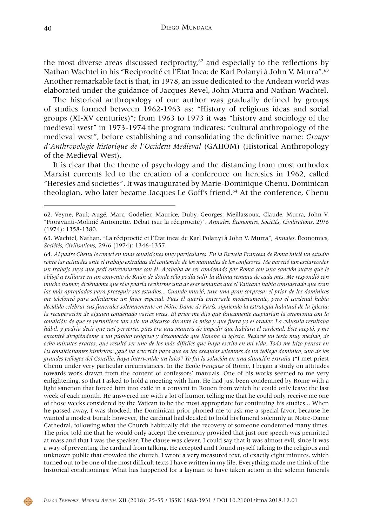the most diverse areas discussed reciprocity, $62$  and especially to the reflections by Nathan Wachtel in his "Reciprocité et l'État Inca: de Karl Polanyi à John V. Murra".63 Another remarkable fact is that, in 1978, an issue dedicated to the Andean world was elaborated under the guidance of Jacques Revel, John Murra and Nathan Wachtel.

The historical anthropology of our author was gradually defined by groups of studies formed between 1962-1963 as: "History of religious ideas and social groups (XI-XV centuries)"; from 1963 to 1973 it was "history and sociology of the medieval west" in 1973-1974 the program indicates: "cultural anthropology of the medieval west", before establishing and consolidating the definitive name: *Groupe d'Anthropologie historique de l'Occident Medieval* (GAHOM) (Historical Anthropology of the Medieval West).

It is clear that the theme of psychology and the distancing from most orthodox Marxist currents led to the creation of a conference on heresies in 1962, called "Heresies and societies". It was inaugurated by Marie-Dominique Chenu, Dominican theologian, who later became Jacques Le Goff's friend.<sup>64</sup> At the conference, Chenu



<sup>62.</sup> Veyne, Paul; Augé, Marc; Godelier, Maurice; Duby, Georges; Meillassoux, Claude; Murra, John V. "Fioravanti-Molinié Antoinette. Débat (sur la réciprocité)". *Annales. Économies, Sociétés, Civilisations*, 29/6 (1974): 1358-1380.

<sup>63.</sup> Wachtel, Nathan. "La réciprocité et l'État inca: de Karl Polanyi à John V. Murra", *Annales.* Économies*, Sociétés, Civilisations*, 29/6 (1974): 1346-1357.

<sup>64.</sup> *Al padre Chenu le conocí en unas condiciones muy particulares. En la Escuela Francesa de Roma inicié un estudio sobre las actitudes ante el trabajo extraídas del contenido de los manuales de los confesores. Me pareció tan esclarecedor un trabajo suyo que pedí entrevistarme con él. Acababa de ser condenado por Roma con una sanción suave que le obligó a exiliarse en un convento de Ruán de donde sólo podía salir la última semana de cada mes. Me respondió con mucho humor, diciéndome que sólo podría recibirme una de esas semanas que el Vaticano había considerado que eran las más apropiadas para proseguir sus estudios... Cuando murió, tuve una gran sorpresa: el prior de los dominicos me telefoneó para solicitarme un favor especial. Pues él quería enterrarle modestamente, pero el cardenal había decidido celebrar sus funerales solemnemente en Nôtre Dame de París, siguiendo la estrategia habitual de la Iglesia: la recuperación de alguien condenado varias veces. El prior me dijo que únicamente aceptarían la ceremonia con la condición de que se permitiera tan solo un discurso durante la misa y que fuera yo el orador. La cláusula resultaba hábil, y podría decir que casi perversa, pues era una manera de impedir que hablara el cardenal. Éste aceptó, y me encontré dirigiéndome a un público religioso y desconocido que llenaba la iglesia. Redacté un texto muy medido, de ocho minutos exactos, que resultó ser uno de los más difíciles que haya escrito en mi vida. Todo me hizo pensar en los condicionantes históricos: ¿qué ha ocurrido para que en las exequias solemnes de un teólogo dominico, uno de los grandes teólogos del Concilio, haya intervenido un laico? Yo fui la solución en una situación extraña* ("I met priest Chenu under very particular circumstances. In the École *française* of Rome, I began a study on attitudes towards work drawn from the content of confessors' manuals. One of his works seemed to me very enlightening, so that I asked to hold a meeting with him. He had just been condemned by Rome with a light sanction that forced him into exile in a convent in Rouen from which he could only leave the last week of each month. He answered me with a lot of humor, telling me that he could only receive me one of those weeks considered by the Vatican to be the most appropriate for continuing his studies... When he passed away, I was shocked: the Dominican prior phoned me to ask me a special favor, because he wanted a modest burial; however, the cardinal had decided to hold his funeral solemnly at Notre-Dame Cathedral, following what the Church habitually did: the recovery of someone condemned many times. The prior told me that he would only accept the ceremony provided that just one speech was permitted at mass and that I was the speaker. The clause was clever, I could say that it was almost evil, since it was a way of preventing the cardinal from talking. He accepted and I found myself talking to the religious and unknown public that crowded the church. I wrote a very measured text, of exactly eight minutes, which turned out to be one of the most difficult texts I have written in my life. Everything made me think of the historical conditionings: What has happened for a layman to have taken action in the solemn funerals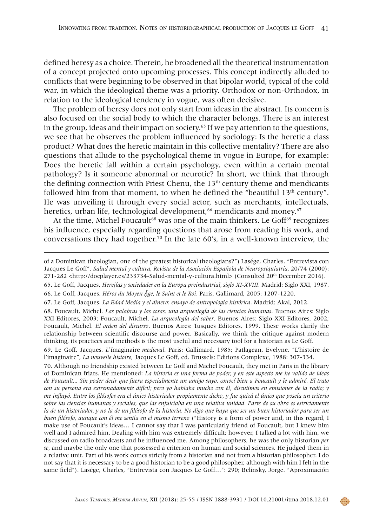defined heresy as a choice. Therein, he broadened all the theoretical instrumentation of a concept projected onto upcoming processes. This concept indirectly alluded to conflicts that were beginning to be observed in that bipolar world, typical of the cold war, in which the ideological theme was a priority. Orthodox or non-Orthodox, in relation to the ideological tendency in vogue, was often decisive.

The problem of heresy does not only start from ideas in the abstract. Its concern is also focused on the social body to which the character belongs. There is an interest in the group, ideas and their impact on society.<sup>65</sup> If we pay attention to the questions, we see that he observes the problem influenced by sociology: Is the heretic a class product? What does the heretic maintain in this collective mentality? There are also questions that allude to the psychological theme in vogue in Europe, for example: Does the heretic fall within a certain psychology, even within a certain mental pathology? Is it someone abnormal or neurotic? In short, we think that through the defining connection with Priest Chenu, the  $13<sup>th</sup>$  century theme and mendicants followed him from that moment, to when he defined the "beautiful  $13<sup>th</sup>$  century". He was unveiling it through every social actor, such as merchants, intellectuals, heretics, urban life, technological development,<sup>66</sup> mendicants and money.<sup>67</sup>

At the time, Michel Foucault<sup>68</sup> was one of the main thinkers. Le Goff<sup>69</sup> recognizes his influence, especially regarding questions that arose from reading his work, and conversations they had together.<sup>70</sup> In the late 60's, in a well-known interview, the

70. Although no friendship existed between Le Goff and Michel Foucault, they met in Paris in the library of Dominican friars. He mentioned: *La historia es una forma de poder, y en este aspecto me he valido de ideas de Foucault... Sin poder decir que fuera especialmente un amigo suyo, conocí bien a Foucault y le admiré. El trato con su persona era extremadamente difícil; pero yo hablaba mucho con él, discutimos en emisiones de la radio; y me influyó. Entre los filósofos era el único historiador propiamente dicho, y fue quizá el único que poseía un criterio sobre las ciencias humanas y sociales, que las enjuiciaba en una relativa unidad. Parte de su obra es estrictamente la de un historiador, y no la de un filósofo de la historia. No digo que haya que ser un buen historiador para ser un buen filósofo, aunque con él me sentía en el mismo terreno* ("History is a form of power and, in this regard, I make use of Foucault's ideas… I cannot say that I was particularly friend of Foucault, but I knew him well and I admired him. Dealing with him was extremely difficult; however, I talked a lot with him, we discussed on radio broadcasts and he influenced me. Among philosophers, he was the only historian *per se*, and maybe the only one that possessed a criterion on human and social sciences. He judged them in a relative unit. Part of his work comes strictly from a historian and not from a historian philosopher. I do not say that it is necessary to be a good historian to be a good philosopher, although with him I felt in the same field"). Lasége, Charles, "Entrevista con Jacques Le Goff…": 290; Belinsky, Jorge. "Aproximación



of a Dominican theologian, one of the greatest historical theologians?") Lasége, Charles. "Entrevista con Jacques Le Goff". *Salud mental y cultura, Revista de la Asociación Española de Neuropsiquiatria*, 20/74 (2000): 271-282 <http://docplayer.es/233734-Salud-mental-y-cultura.html> (Consulted 20<sup>th</sup> December 2016).

<sup>65.</sup> Le Goff, Jacques. *Herejías y sociedades en la Europa preindustrial, siglo XI-XVIII*. Madrid: Siglo XXI, 1987. 66. Le Goff, Jacques. *Héros du Moyen Ậge, le Saint et le Roi*. Paris, Gallimard, 2005: 1207-1220.

<sup>67.</sup> Le Goff, Jacques. *La Edad Media y el dinero*: *ensayo de antropología histórica*. Madrid: Akal, 2012.

<sup>68.</sup> Foucault, Michel. *Las palabras y las cosas: una arqueología de las ciencias humanas*. Buenos Aires: Siglo XXI Editores, 2003; Foucault, Michel. *La arqueología del saber*. Buenos Aires: Siglo XXI Editores, 2002; Foucault, Michel. *El orden del discurso*. Buenos Aires: Tusques Editores, 1999. These works clarify the relationship between scientific discourse and power. Basically, we think the critique against modern thinking, its practices and methods is the most useful and necessary tool for a historian as Le Goff.

<sup>69.</sup> Le Goff, Jacques. *L*΄ímaginaire *medieval*. Paris: Gallimard, 1985; Patlagean, Evelyne. "L'histoire de l'imaginaire", *La nouvelle histoire*, Jacques Le Goff, ed. Brussels: Editions Complexe, 1988: 307-334.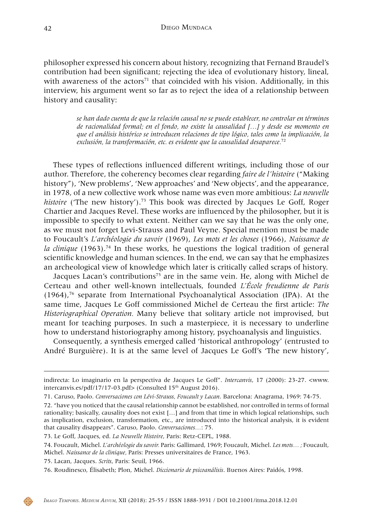philosopher expressed his concern about history, recognizing that Fernand Braudel's contribution had been significant; rejecting the idea of evolutionary history, lineal, with awareness of the  $\arccos$ <sup>71</sup> that coincided with his vision. Additionally, in this interview, his argument went so far as to reject the idea of a relationship between history and causality:

> *se han dado cuenta de que la relación causal no se puede establecer, no controlar en términos de racionalidad formal; en el fondo, no existe la causalidad […] y desde ese momento en que el análisis histórico se introducen relaciones de tipo lógico, tales como la implicación, la exclusión, la transformación, etc. es evidente que la causalidad desaparece.*<sup>72</sup>

These types of reflections influenced different writings, including those of our author. Therefore, the coherency becomes clear regarding *faire de l'histoire* ("Making history"), 'New problems', 'New approaches' and 'New objects', and the appearance, in 1978, of a new collective work whose name was even more ambitious: *La nouvelle histoire* ('The new history').<sup>73</sup> This book was directed by Jacques Le Goff, Roger Chartier and Jacques Revel. These works are influenced by the philosopher, but it is impossible to specify to what extent. Neither can we say that he was the only one, as we must not forget Levi-Strauss and Paul Veyne. Special mention must be made to Foucault's *L'archéologie du savoir* (1969), *Les mots et les choses* (1966), *Naissance de la clinique* (1963).74 In these works, he questions the logical tradition of general scientific knowledge and human sciences. In the end, we can say that he emphasizes an archeological view of knowledge which later is critically called scraps of history.

Jacques Lacan's contributions<sup>75</sup> are in the same vein. He, along with Michel de Certeau and other well-known intellectuals, founded *L'École freudienne de Paris*   $(1964)$ ,<sup>76</sup> separate from International Psychoanalytical Association (IPA). At the same time, Jacques Le Goff commissioned Michel de Certeau the first article: *The Historiographical Operation.* Many believe that solitary article not improvised, but meant for teaching purposes. In such a masterpiece, it is necessary to underline how to understand historiography among history, psychoanalysis and linguistics.

Consequently, a synthesis emerged called 'historical anthropology' (entrusted to André Burguière). It is at the same level of Jacques Le Goff's 'The new history',

75. Lacan, Jacques. *Scrits*, Paris: Seuil, 1966.

indirecta: Lo imaginario en la perspectiva de Jacques Le Goff". *Intercanvis*, 17 (2000): 23-27. <www. intercanvis.es/pdf/17/17-03.pdf> (Consulted  $15<sup>th</sup>$  August 2016).

<sup>71.</sup> Caruso, Paolo. *Conversaciones con Lévi-Strauss, Foucault y Lacan*. Barcelona: Anagrama, 1969: 74-75.

<sup>72. &</sup>quot;have you noticed that the causal relationship cannot be established, nor controlled in terms of formal rationality; basically, causality does not exist […] and from that time in which logical relationships, such as implication, exclusion, transformation, etc., are introduced into the historical analysis, it is evident that causality disappears". Caruso, Paolo. *Conversaciones…*: 75.

<sup>73.</sup> Le Goff, Jacques, ed. *La Nouvelle Histoire*, Paris: Retz-CEPL, 1988.

<sup>74.</sup> Foucault, Michel. *L'archéologie du savoir.* Paris: Gallimard, 1969; Foucault, Michel. *Les mots… ;* Foucault, Michel. *Naissance de la clinique,* Paris: Presses universitaires de France, 1963.

<sup>76.</sup> Roudinesco, Élisabeth; Plon, Michel. *Diccionario de psicoanálisis*. Buenos Aires: Paidós, 1998.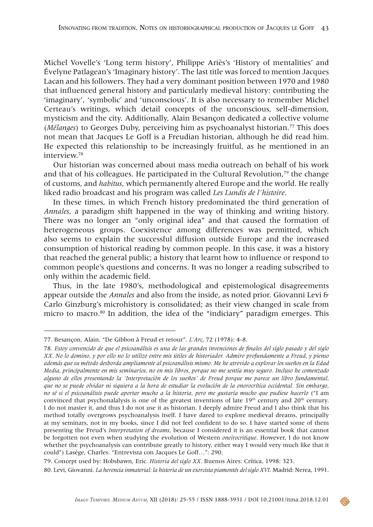Michel Vovelle's 'Long term history', Philippe Ariès's 'History of mentalities' and Évelyne Patlagean's 'Imaginary history'. The last title was forced to mention Jacques Lacan and his followers. They had a very dominant position between 1970 and 1980 that influenced general history and particularly medieval history: contributing the 'imaginary', 'symbolic' and 'unconscious'. It is also necessary to remember Michel Certeau's writings, which detail concepts of the unconscious, self-dimension, mysticism and the city. Additionally, Alain Besançon dedicated a collective volume (*Mélanges*) to Georges Duby, perceiving him as psychoanalyst historian.77 This does not mean that Jacques Le Goff is a Freudian historian, although he did read him. He expected this relationship to be increasingly fruitful, as he mentioned in an interview.78

Our historian was concerned about mass media outreach on behalf of his work and that of his colleagues. He participated in the Cultural Revolution, $79$  the change of customs, and *habitus*, which permanently altered Europe and the world. He really liked radio broadcast and his program was called *Les Lundis de l'histoire*.

In these times, in which French history predominated the third generation of *Annales*, a paradigm shift happened in the way of thinking and writing history. There was no longer an "only original idea" and that caused the formation of heterogeneous groups. Coexistence among differences was permitted, which also seems to explain the successful diffusion outside Europe and the increased consumption of historical reading by common people. In this case, it was a history that reached the general public; a history that learnt how to influence or respond to common people's questions and concerns. It was no longer a reading subscribed to only within the academic field.

Thus, in the late 1980's, methodological and epistemological disagreements appear outside the *Annales* and also from the inside, as noted prior. Giovanni Levi & Carlo Ginzburg's microhistory is consolidated; as their view changed in scale from micro to macro.<sup>80</sup> In addition, the idea of the "indiciary" paradigm emerges. This

<sup>77.</sup> Besançon, Alain. "De Gibbon à Freud et retour". *L'Arc*, 72 (1978): 4-8.

<sup>78.</sup> *Estoy convencido de que el psicoanálisis es una de las grandes invenciones de finales del siglo pasado y del siglo XX. No lo domino, y por ello no lo utilizo entre mis útiles de historiador. Admiro profundamente a Freud, y pienso además que su método desborda ampliamente al psicoanálisis mismo. Me he atrevido a explorar los sueños en la Edad Media, principalmente en mis seminarios, no en mis libros, porque no me sentía muy seguro. Incluso he comenzado alguno de ellos presentando la 'Interpretación de los sueños' de Freud porque me parece un libro fundamental, que no se puede olvidar ni siquiera a la hora de estudiar la evolución de la onorocrítica occidental. Sin embargo, no sé si el psicoanálisis puede aportar mucho a la historia, pero me gustaría mucho que pudiese hacerlo* ("I am convinced that psychonalalysis is one of the greatest inventions of late 19<sup>th</sup> century and 20<sup>th</sup> century. I do not master it, and thus I do not use it as historian. I deeply admire Freud and I also think that his method totally overgrows psychoanalysis itself. I have dared to explore medieval dreams, principally at my seminars, not in my books, since I did not feel confident to do so. I have started some of them presenting the Freud's *Interpretation of dreams*, because I considered it is an essential book that cannot be forgotten not even when studying the evolution of Western *oneirocritique*. However, I do not know whether the psychoanalysis can contribute greatly to history, either way I would very much like that it could") Lasége, Charles. "Entrevista con Jacques Le Goff…": 290.

<sup>79.</sup> Concept used by: Hobsbawn, Eric. *Historia del siglo XX*. Buenos Aires: Crítica, 1998: 323.

<sup>80.</sup> Levi, Giovanni. *La herencia inmaterial: la historia de un exorcista piamontés del siglo XVI*. Madrid: Nerea, 1991.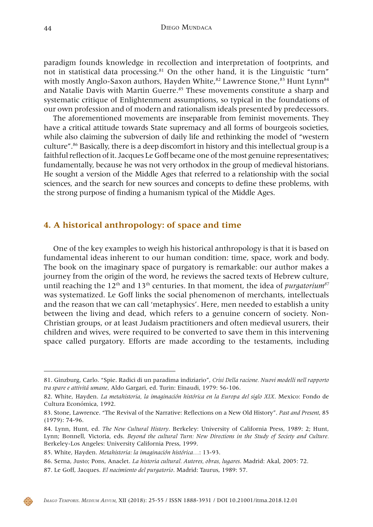paradigm founds knowledge in recollection and interpretation of footprints, and not in statistical data processing.<sup>81</sup> On the other hand, it is the Linguistic "turn" with mostly Anglo-Saxon authors, Hayden White, ${}^{82}$  Lawrence Stone, ${}^{83}$  Hunt Lynn ${}^{84}$ and Natalie Davis with Martin Guerre.<sup>85</sup> These movements constitute a sharp and systematic critique of Enlightenment assumptions, so typical in the foundations of our own profession and of modern and rationalism ideals presented by predecessors.

The aforementioned movements are inseparable from feminist movements. They have a critical attitude towards State supremacy and all forms of bourgeois societies, while also claiming the subversion of daily life and rethinking the model of "western culture".86 Basically, there is a deep discomfort in history and this intellectual group is a faithful reflection of it. Jacques Le Goff became one of the most genuine representatives; fundamentally, because he was not very orthodox in the group of medieval historians. He sought a version of the Middle Ages that referred to a relationship with the social sciences, and the search for new sources and concepts to define these problems, with the strong purpose of finding a humanism typical of the Middle Ages.

### **4. A historical anthropology: of space and time**

One of the key examples to weigh his historical anthropology is that it is based on fundamental ideas inherent to our human condition: time, space, work and body. The book on the imaginary space of purgatory is remarkable: our author makes a journey from the origin of the word, he reviews the sacred texts of Hebrew culture, until reaching the 12<sup>th</sup> and 13<sup>th</sup> centuries. In that moment, the idea of *purgatorium*<sup>87</sup> was systematized. Le Goff links the social phenomenon of merchants, intellectuals and the reason that we can call 'metaphysics'. Here, men needed to establish a unity between the living and dead, which refers to a genuine concern of society. Non-Christian groups, or at least Judaism practitioners and often medieval usurers, their children and wives, were required to be converted to save them in this intervening space called purgatory. Efforts are made according to the testaments, including

87. Le Goff, Jacques. *El nacimiento del purgatorio*. Madrid: Taurus, 1989: 57.



<sup>81.</sup> Ginzburg, Carlo. "Spie. Radici di un paradima indiziario", *Crisi Della racione. Nuovi modelli nell rapporto tra spare e attivitá umane*, Aldo Gargari, ed. Turin: Einaudi, 1979: 56-106.

<sup>82.</sup> White, Hayden. *La metahistoria, la imaginación histórica en la Europa del siglo XIX*. Mexico: Fondo de Cultura Económica, 1992.

<sup>83.</sup> Stone, Lawrence. "The Revival of the Narrative: Reflections on a New Old History". *Past and Present*, 85 (1979): 74-96.

<sup>84.</sup> Lynn, Hunt, ed. *The New Cultural History*. Berkeley: University of California Press, 1989: 2; Hunt, Lynn; Bonnell, Victoria, eds. *Beyond the cultural Turn: New Directions in the Study of Society and Culture.* Berkeley-Los Angeles: University California Press, 1999.

<sup>85.</sup> White, Hayden. *Metahistoria: la imaginación histórica…*: 13-93.

<sup>86.</sup> Serna, Justo; Pons, Anaclet. *La historia cultural. Autores, obras, lugares*. Madrid: Akal, 2005: 72.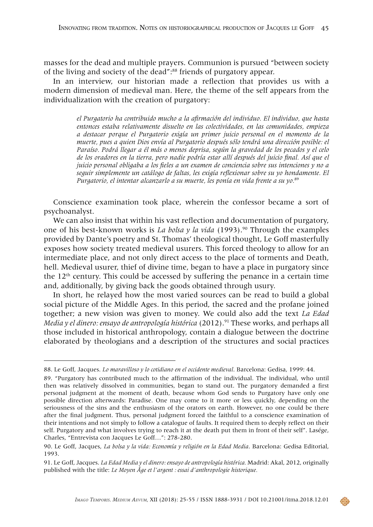masses for the dead and multiple prayers. Communion is pursued "between society of the living and society of the dead":88 friends of purgatory appear.

In an interview, our historian made a reflection that provides us with a modern dimension of medieval man. Here, the theme of the self appears from the individualization with the creation of purgatory:

> *el Purgatorio ha contribuido mucho a la afirmación del individuo. El individuo, que hasta entonces estaba relativamente disuelto en las colectividades, en las comunidades, empieza a destacar porque el Purgatorio exigía un primer juicio personal en el momento de la muerte, pues a quien Dios envía al Purgatorio después sólo tendrá una dirección posible: el Paraíso. Podrá llegar a él más o menos deprisa, según la gravedad de los pecados y el celo de los oradores en la tierra, pero nadie podría estar allí después del juicio final. Así que el juicio personal obligaba a los fieles a un examen de conciencia sobre sus intenciones y no a seguir simplemente un catálogo de faltas, les exigía reflexionar sobre su yo hondamente. El Purgatorio, el intentar alcanzarlo a su muerte, les ponía en vida frente a su yo.*<sup>89</sup>

Conscience examination took place, wherein the confessor became a sort of psychoanalyst.

We can also insist that within his vast reflection and documentation of purgatory, one of his best-known works is *La bolsa y la vida* (1993).90 Through the examples provided by Dante's poetry and St. Thomas' theological thought, Le Goff masterfully exposes how society treated medieval usurers. This forced theology to allow for an intermediate place, and not only direct access to the place of torments and Death, hell. Medieval usurer, thief of divine time, began to have a place in purgatory since the  $12<sup>th</sup>$  century. This could be accessed by suffering the penance in a certain time and, additionally, by giving back the goods obtained through usury.

In short, he relayed how the most varied sources can be read to build a global social picture of the Middle Ages. In this period, the sacred and the profane joined together; a new vision was given to money. We could also add the text *La Edad Media y el dinero: ensayo de antropología histórica* (2012).<sup>91</sup> These works, and perhaps all those included in historical anthropology, contain a dialogue between the doctrine elaborated by theologians and a description of the structures and social practices

<sup>88.</sup> Le Goff, Jacques. *Lo maravilloso y lo cotidiano en el occidente medieval*. Barcelona: Gedisa, 1999: 44.

<sup>89. &</sup>quot;Purgatory has contributed much to the affirmation of the individual. The individual, who until then was relatively dissolved in communities, began to stand out. The purgatory demanded a first personal judgment at the moment of death, because whom God sends to Purgatory have only one possible direction afterwards: Paradise. One may come to it more or less quickly, depending on the seriousness of the sins and the enthusiasm of the orators on earth. However, no one could be there after the final judgment. Thus, personal judgment forced the faithful to a conscience examination of their intentions and not simply to follow a catalogue of faults. It required them to deeply reflect on their self. Purgatory and what involves trying to reach it at the death put them in front of their self". Lasége, Charles, "Entrevista con Jacques Le Goff…": 278-280.

<sup>90.</sup> Le Goff, Jacques, *La bolsa y la vida: Economía y religión en la Edad Media*. Barcelona: Gedisa Editorial, 1993.

<sup>91.</sup> Le Goff, Jacques. *La Edad Media y el dinero: ensayo de antropología histórica.* Madrid: Akal, 2012, originally published with the title: *Le Moyen Âge et l'argent : essai d'anthropologie historique.*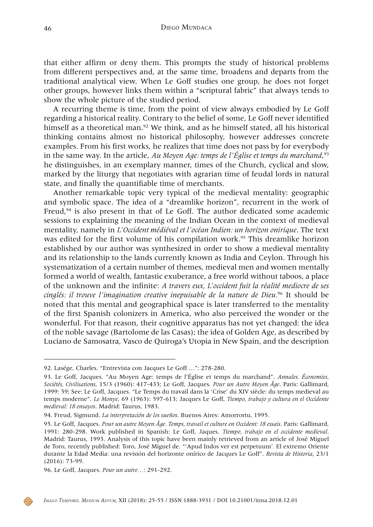that either affirm or deny them. This prompts the study of historical problems from different perspectives and, at the same time, broadens and departs from the traditional analytical view. When Le Goff studies one group, he does not forget other groups, however links them within a "scriptural fabric" that always tends to show the whole picture of the studied period.

A recurring theme is time, from the point of view always embodied by Le Goff regarding a historical reality. Contrary to the belief of some, Le Goff never identified himself as a theoretical man.<sup>92</sup> We think, and as he himself stated, all his historical thinking contains almost no historical philosophy, however addresses concrete examples. From his first works, he realizes that time does not pass by for everybody in the same way. In the article, *Au Moyen Age: temps de l'Église et temps du marchand*, 93 he distinguishes, in an exemplary manner, times of the Church, cyclical and slow, marked by the liturgy that negotiates with agrarian time of feudal lords in natural state, and finally the quantifiable time of merchants.

Another remarkable topic very typical of the medieval mentality: geographic and symbolic space. The idea of a "dreamlike horizon", recurrent in the work of Freud,94 is also present in that of Le Goff. The author dedicated some academic sessions to explaining the meaning of the Indian Ocean in the context of medieval mentality, namely in *L'Occident médiéval et l'océan Indien: un horizon onirique*. The text was edited for the first volume of his compilation work.<sup>95</sup> This dreamlike horizon established by our author was synthesized in order to show a medieval mentality and its relationship to the lands currently known as India and Ceylon. Through his systematization of a certain number of themes, medieval men and women mentally formed a world of wealth, fantastic exuberance, a free world without taboos, a place of the unknown and the infinite: *A travers eux, L'occident fuit la réalité mediocre de ses cinglés: il trouve l'imagination creative inepuisable de la nature de Dieu.*96 It should be noted that this mental and geographical space is later transferred to the mentality of the first Spanish colonizers in America, who also perceived the wonder or the wonderful. For that reason, their cognitive apparatus has not yet changed: the idea of the noble savage (Bartolome de las Casas); the idea of Golden Age, as described by Luciano de Samosatra, Vasco de Quiroga's Utopia in New Spain, and the description

<sup>92.</sup> Lasége, Charles. "Entrevista con Jacques Le Goff …": 278-280.

<sup>93.</sup> Le Goff, Jacques. "Au Moyen Age: temps de l'Église et temps du marchand". *Annales. Économies, Sociétés, Civilisations*, 15/3 (1960): 417-433; Le Goff, Jacques. *Pour un Autre Moyen Âge*. Paris: Gallimard, 1999: 59; See: Le Goff, Jacques. "Le Temps du travail dans la 'Crise' du XIV siècle: du temps medieval au temps moderne". *Le Monye*, 69 (1963): 597-613; Jacques Le Goff, *Tiempo, trabajo y cultura en el Occidente medieval: 18 ensayos*. Madrid: Taurus, 1983.

<sup>94.</sup> Freud, Sigmund. *La interpretación de los sueños*. Buenos Aires: Amorrortu, 1995.

<sup>95.</sup> Le Goff, Jacques. *Pour un autre Moyen Âge. Temps, travail et culture en Occident: 18 essais*. Paris: Gallimard, 1991: 280-298. Work published in Spanish: Le Goff, Jaques. *Tiempo, trabajo en el occidente medieval*. Madrid: Taurus, 1993. Analysis of this topic have been mainly retrieved from an article of José Miguel de Toro, recently published: Toro, José Miguel de. "'Apud Indos ver est perpetuum'*.* El extremo Oriente durante la Edad Media: una revisión del horizonte onírico de Jacques Le Goff". *Revista de Historia*, 23/1 (2016): 73-99.

<sup>96.</sup> Le Goff, Jacques. *Pour un autre…*: 291-292.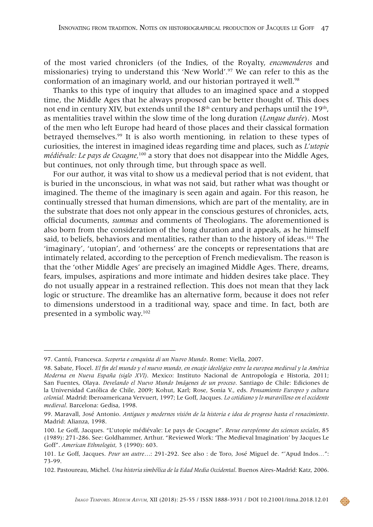of the most varied chroniclers (of the Indies, of the Royalty, *encomenderos* and missionaries) trying to understand this 'New World'*.* 97 We can refer to this as the conformation of an imaginary world, and our historian portrayed it well.<sup>98</sup>

Thanks to this type of inquiry that alludes to an imagined space and a stopped time, the Middle Ages that he always proposed can be better thought of. This does not end in century XIV, but extends until the 18<sup>th</sup> century and perhaps until the 19<sup>th</sup>, as mentalities travel within the slow time of the long duration (*Longue durée*). Most of the men who left Europe had heard of those places and their classical formation betrayed themselves.99 It is also worth mentioning, in relation to these types of curiosities, the interest in imagined ideas regarding time and places, such as *L'utopie médiévale: Le pays de Cocagne,*100 a story that does not disappear into the Middle Ages, but continues, not only through time, but through space as well.

For our author, it was vital to show us a medieval period that is not evident, that is buried in the unconscious, in what was not said, but rather what was thought or imagined. The theme of the imaginary is seen again and again. For this reason, he continually stressed that human dimensions, which are part of the mentality, are in the substrate that does not only appear in the conscious gestures of chronicles, acts, official documents, *summas* and comments of Theologians. The aforementioned is also born from the consideration of the long duration and it appeals, as he himself said, to beliefs, behaviors and mentalities, rather than to the history of ideas.<sup>101</sup> The 'imaginary', 'utopian', and 'otherness' are the concepts or representations that are intimately related, according to the perception of French medievalism. The reason is that the 'other Middle Ages' are precisely an imagined Middle Ages. There, dreams, fears, impulses, aspirations and more intimate and hidden desires take place. They do not usually appear in a restrained reflection. This does not mean that they lack logic or structure. The dreamlike has an alternative form, because it does not refer to dimensions understood in a traditional way, space and time. In fact, both are presented in a symbolic way.102

<sup>97.</sup> Cantú, Francesca. *Scoperta e conquista di un Nuovo Mundo*. Rome: Viella, 2007.

<sup>98.</sup> Sabate, Flocel. *El fin del mundo y el nuevo mundo, en encaje ideológico entre la europea medieval y la América Moderna en Nueva España (siglo XVI)*. Mexico: Instituto Nacional de Antropología e Historia, 2011; San Fuentes, Olaya. *Develando el Nuevo Mundo Imágenes de un proceso*. Santiago de Chile: Ediciones de la Universidad Católica de Chile, 2009; Kohut, Karl; Rose, Sonia V., eds. *Pensamiento Europeo y cultura colonial.* Madrid: Iberoamericana Vervuert, 1997; Le Goff, Jacques. *Lo cotidiano y lo maravilloso en el occidente medieval*. Barcelona: Gedisa, 1998.

<sup>99.</sup> Maravall, José Antonio. *Antiguos y modernos visión de la historia e idea de progreso hasta el renacimiento*. Madrid: Alianza, 1998.

<sup>100.</sup> Le Goff, Jacques. "L'utopie médiévale: Le pays de Cocagne". *Revue européenne des sciences sociales*, 85 (1989): 271-286. See: Goldhammer, Arthur. "Reviewed Work: 'The Medieval Imagination' by Jacques Le Goff". *American Ethnologist*, 3 (1990): 603.

<sup>101.</sup> Le Goff, Jacques. *Pour un autre*…: 291-292. See also : de Toro, José Miguel de. "'Apud Indos*…*": 73-99.

<sup>102.</sup> Pastoureau, Michel. *Una historia simbólica de la Edad Media Occidental*. Buenos Aires-Madrid: Katz, 2006.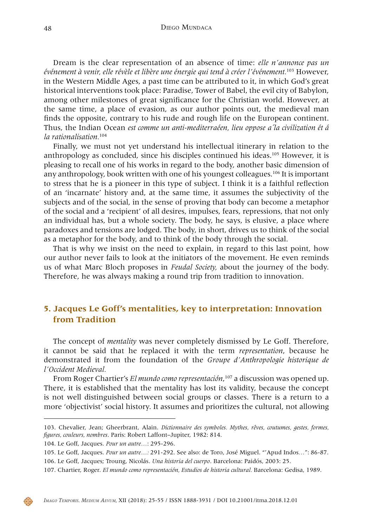Dream is the clear representation of an absence of time: *elle n'annonce pas un événement à venir, elle révèle et libère une énergie qui tend à créer l'événement.*103 However, in the Western Middle Ages, a past time can be attributed to it, in which God's great historical interventions took place: Paradise, Tower of Babel, the evil city of Babylon, among other milestones of great significance for the Christian world. However, at the same time, a place of evasion, as our author points out, the medieval man finds the opposite, contrary to his rude and rough life on the European continent. Thus, the Indian Ocean *est comme un anti-mediterraéen, lieu oppose a´la civilization ét á la rationalisation.*<sup>104</sup>

Finally, we must not yet understand his intellectual itinerary in relation to the anthropology as concluded, since his disciples continued his ideas.<sup>105</sup> However, it is pleasing to recall one of his works in regard to the body, another basic dimension of any anthropology, book written with one of his youngest colleagues.<sup>106</sup> It is important to stress that he is a pioneer in this type of subject. I think it is a faithful reflection of an 'incarnate' history and, at the same time, it assumes the subjectivity of the subjects and of the social, in the sense of proving that body can become a metaphor of the social and a 'recipient' of all desires, impulses, fears, repressions, that not only an individual has, but a whole society. The body, he says, is elusive, a place where paradoxes and tensions are lodged. The body, in short, drives us to think of the social as a metaphor for the body, and to think of the body through the social.

That is why we insist on the need to explain, in regard to this last point, how our author never fails to look at the initiators of the movement. He even reminds us of what Marc Bloch proposes in *Feudal Society,* about the journey of the body. Therefore, he was always making a round trip from tradition to innovation.

### **5. Jacques Le Goff's mentalities, key to interpretation: Innovation from Tradition**

The concept of *mentality* was never completely dismissed by Le Goff. Therefore, it cannot be said that he replaced it with the term *representation*, because he demonstrated it from the foundation of the *Groupe d'Anthropologie historique de l'Occident Medieval.*

From Roger Chartier's *El mundo como representación*, 107 a discussion was opened up. There, it is established that the mentality has lost its validity, because the concept is not well distinguished between social groups or classes. There is a return to a more 'objectivist' social history. It assumes and prioritizes the cultural, not allowing



<sup>103.</sup> Chevalier, Jean; Gheerbrant, Alain. *Dictionnaire des symboles. Mythes, rêves, coutumes, gestes, formes, figures, couleurs, nombres*. Paris: Robert Laffont–Jupiter, 1982: 814.

<sup>104.</sup> Le Goff, Jacques. *Pour un autre…*: 295-296.

<sup>105.</sup> Le Goff, Jacques. *Pour un autre…:* 291-292. See also: de Toro, José Miguel. "'Apud Indos*…*": 86-87. 106. Le Goff, Jacques; Troung, Nicolás. *Una historia del cuerpo*. Barcelona: Paidós, 2003: 25.

<sup>107.</sup> Chartier, Roger. *El mundo como representación, Estudios de historia cultural.* Barcelona: Gedisa, 1989.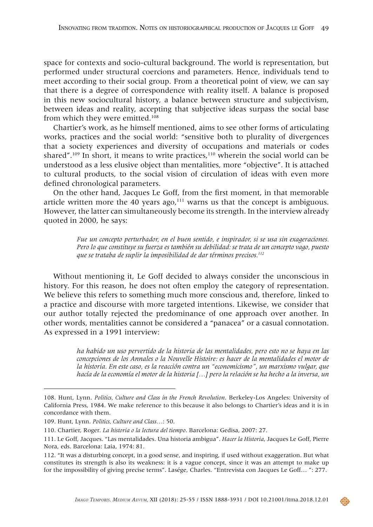space for contexts and socio-cultural background. The world is representation, but performed under structural coercions and parameters. Hence, individuals tend to meet according to their social group. From a theoretical point of view, we can say that there is a degree of correspondence with reality itself. A balance is proposed in this new sociocultural history, a balance between structure and subjectivism, between ideas and reality, accepting that subjective ideas surpass the social base from which they were emitted.108

Chartier's work, as he himself mentioned, aims to see other forms of articulating works, practices and the social world: "sensitive both to plurality of divergences that a society experiences and diversity of occupations and materials or codes shared".<sup>109</sup> In short, it means to write practices,<sup>110</sup> wherein the social world can be understood as a less elusive object than mentalities, more "objective". It is attached to cultural products, to the social vision of circulation of ideas with even more defined chronological parameters.

On the other hand, Jacques Le Goff, from the first moment, in that memorable article written more the 40 years  $ago<sub>i</sub>$ <sup>111</sup> warns us that the concept is ambiguous. However, the latter can simultaneously become its strength. In the interview already quoted in 2000, he says:

> *Fue un concepto perturbador, en el buen sentido, e inspirador, si se usa sin exageraciones. Pero lo que constituye su fuerza es también su debilidad: se trata de un concepto vago, puesto que se trataba de suplir la imposibilidad de dar términos precisos.112*

Without mentioning it, Le Goff decided to always consider the unconscious in history. For this reason, he does not often employ the category of representation. We believe this refers to something much more conscious and, therefore, linked to a practice and discourse with more targeted intentions. Likewise, we consider that our author totally rejected the predominance of one approach over another. In other words, mentalities cannot be considered a "panacea" or a casual connotation. As expressed in a 1991 interview:

> *ha habido un uso pervertido de la historia de las mentalidades, pero esto no se haya en las concepciones de los Annales o la Nouvelle Histoire: es hacer de la mentalidades el motor de la historia. En este caso, es la reacción contra un "economicismo", un marxismo vulgar, que hacía de la economía el motor de la historia […] pero la relación se ha hecho a la inversa, un*

<sup>108.</sup> Hunt, Lynn. *Politics, Culture and Class in the French Revolution*. Berkeley-Los Angeles: University of California Press, 1984. We make reference to this because it also belongs to Chartier's ideas and it is in concordance with them.

<sup>109.</sup> Hunt, Lynn. *Politics, Culture and Class…*: 50.

<sup>110.</sup> Chartier, Roger. *La historia o la lectura del tiempo*. Barcelona: Gedisa, 2007: 27.

<sup>111.</sup> Le Goff, Jacques. "Las mentalidades. Una historia ambigua". *Hacer la Historia*, Jacques Le Goff, Pierre Nora, eds. Barcelona: Laia, 1974: 81.

<sup>112. &</sup>quot;It was a disturbing concept, in a good sense, and inspiring, if used without exaggeration. But what constitutes its strength is also its weakness: it is a vague concept, since it was an attempt to make up for the impossibility of giving precise terms". Lasége, Charles. "Entrevista con Jacques Le Goff… ": 277.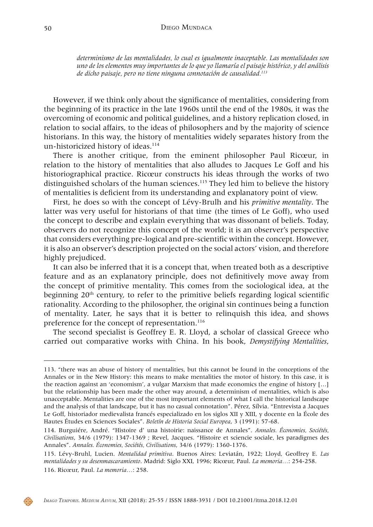*determinismo de las mentalidades, lo cual es igualmente inaceptable. Las mentalidades son uno de los elementos muy importantes de lo que yo llamaría el paisaje histórico, y del análisis de dicho paisaje, pero no tiene ninguna connotación de causalidad.113*

However, if we think only about the significance of mentalities, considering from the beginning of its practice in the late 1960s until the end of the 1980s, it was the overcoming of economic and political guidelines, and a history replication closed, in relation to social affairs, to the ideas of philosophers and by the majority of science historians. In this way, the history of mentalities widely separates history from the un-historicized history of ideas.<sup>114</sup>

There is another critique, from the eminent philosopher Paul Ricœur, in relation to the history of mentalities that also alludes to Jacques Le Goff and his historiographical practice. Ricœur constructs his ideas through the works of two distinguished scholars of the human sciences.115 They led him to believe the history of mentalities is deficient from its understanding and explanatory point of view.

First, he does so with the concept of Lévy-Brulh and his *primitive mentality*. The latter was very useful for historians of that time (the times of Le Goff), who used the concept to describe and explain everything that was dissonant of beliefs. Today, observers do not recognize this concept of the world; it is an observer's perspective that considers everything pre-logical and pre-scientific within the concept. However, it is also an observer's description projected on the social actors' vision, and therefore highly prejudiced.

It can also be inferred that it is a concept that, when treated both as a descriptive feature and as an explanatory principle, does not definitively move away from the concept of primitive mentality. This comes from the sociological idea, at the beginning  $20<sup>th</sup>$  century, to refer to the primitive beliefs regarding logical scientific rationality. According to the philosopher, the original sin continues being a function of mentality. Later, he says that it is better to relinquish this idea, and shows preference for the concept of representation.<sup>116</sup>

The second specialist is Geoffrey E. R. Lloyd, a scholar of classical Greece who carried out comparative works with China. In his book, *Demystifying Mentalities*,



<sup>113. &</sup>quot;there was an abuse of history of mentalities, but this cannot be found in the conceptions of the Annales or in the New History: this means to make mentalities the motor of history. In this case, it is the reaction against an 'economism', a vulgar Marxism that made economics the engine of history […] but the relationship has been made the other way around, a determinism of mentalities, which is also unacceptable. Mentalities are one of the most important elements of what I call the historical landscape and the analysis of that landscape, but it has no casual connotation". Pérez, Sílvia. "Entrevista a Jacques Le Goff, historiador medievalista francés especializado en los siglos XII y XIII, y docente en la École des Hautes Études en Sciences Sociales". *Boletín de Historia Social Europea*, 3 (1991): 57-68.

<sup>114.</sup> Burguiére, André. "Histoire d' una histoirie: naissance de Annales". *Annales. Économies, Sociétés, Civilisations*, 34/6 (1979): 1347-1369 ; Revel, Jacques. "Histoire et sciencie sociale, les paradigmes des Annales". *Annales. Économies, Sociétés, Civilisations*, 34/6 (1979): 1360-1376.

<sup>115.</sup> Lévy-Bruhl, Lucien. *Mentalidad primitiva*. Buenos Aires: Leviatán, 1922; Lloyd, Geoffrey E. *Las mentalidades y su desenmascaramiento*. Madrid: Siglo XXI, 1996; Ricœur, Paul. *La memoria…*: 254-258. 116. Ricœur, Paul. *La memoria…*: 258.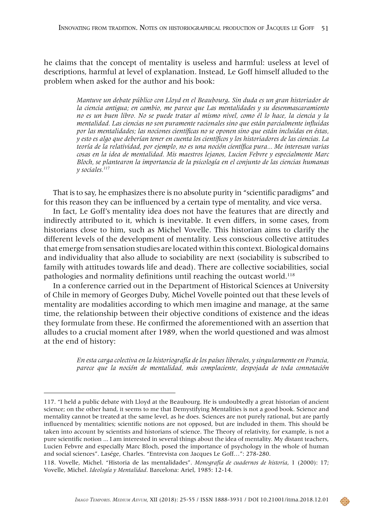he claims that the concept of mentality is useless and harmful: useless at level of descriptions, harmful at level of explanation. Instead, Le Goff himself alluded to the problem when asked for the author and his book:

> *Mantuve un debate público con Lloyd en el Beaubourg. Sin duda es un gran historiador de la ciencia antigua; en cambio, me parece que Las mentalidades y su desenmascaramiento no es un buen libro. No se puede tratar al mismo nivel, como él lo hace, la ciencia y la mentalidad. Las ciencias no son puramente racionales sino que están parcialmente influidas por las mentalidades; las nociones científicas no se oponen sino que están incluidas en éstas, y esto es algo que deberían tener en cuenta los científicos y los historiadores de las ciencias. La teoría de la relatividad, por ejemplo, no es una noción científica pura... Me interesan varias cosas en la idea de mentalidad. Mis maestros lejanos, Lucien Febvre y especialmente Marc Bloch, se plantearon la importancia de la psicología en el conjunto de las ciencias humanas y sociales.117*

That is to say, he emphasizes there is no absolute purity in "scientific paradigms" and for this reason they can be influenced by a certain type of mentality, and vice versa.

In fact, Le Goff's mentality idea does not have the features that are directly and indirectly attributed to it, which is inevitable. It even differs, in some cases, from historians close to him, such as Michel Vovelle. This historian aims to clarify the different levels of the development of mentality. Less conscious collective attitudes that emerge from sensation studies are located within this context. Biological domains and individuality that also allude to sociability are next (sociability is subscribed to family with attitudes towards life and dead). There are collective sociabilities, social pathologies and normality definitions until reaching the outcast world.<sup>118</sup>

In a conference carried out in the Department of Historical Sciences at University of Chile in memory of Georges Duby, Michel Vovelle pointed out that these levels of mentality are modalities according to which men imagine and manage, at the same time, the relationship between their objective conditions of existence and the ideas they formulate from these. He confirmed the aforementioned with an assertion that alludes to a crucial moment after 1989, when the world questioned and was almost at the end of history:

> *En esta carga colectiva en la historiografía de los países liberales, y singularmente en Francia, parece que la noción de mentalidad, más complaciente, despojada de toda connotación*

<sup>117. &</sup>quot;I held a public debate with Lloyd at the Beaubourg. He is undoubtedly a great historian of ancient science; on the other hand, it seems to me that Demystifying Mentalities is not a good book. Science and mentality cannot be treated at the same level, as he does. Sciences are not purely rational, but are partly influenced by mentalities; scientific notions are not opposed, but are included in them. This should be taken into account by scientists and historians of science. The Theory of relativity, for example, is not a pure scientific notion ... I am interested in several things about the idea of mentality. My distant teachers, Lucien Febvre and especially Marc Bloch, posed the importance of psychology in the whole of human and social sciences". Lasége, Charles. "Entrevista con Jacques Le Goff…": 278-280.

<sup>118.</sup> Vovelle, Michel. "Historia de las mentalidades". *Monografía de cuadernos de historia*, 1 (2000): 17; Vovelle, Michel. *Ideología y Mentalidad*. Barcelona: Ariel, 1985: 12-14.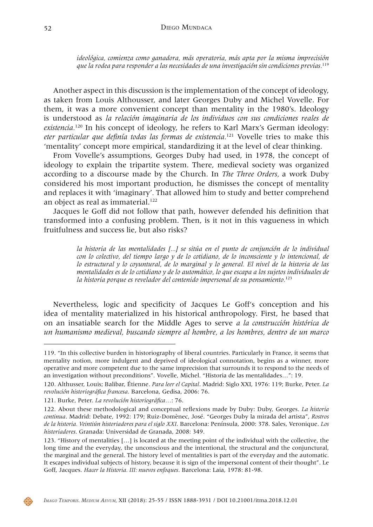*ideológica, comienza como ganadora, más operatoria, más apta por la misma imprecisión que la rodea para responder a las necesidades de una investigación sin condiciones previas.*<sup>119</sup>

Another aspect in this discussion is the implementation of the concept of ideology, as taken from Louis Althousser, and later Georges Duby and Michel Vovelle. For them, it was a more convenient concept than mentality in the 1980's. Ideology is understood as *la relación imaginaria de los individuos con sus condiciones reales de existencia.*120 In his concept of ideology, he refers to Karl Marx's German ideology: *eter particular que definía todas las formas de existencia.*121 Vovelle tries to make this 'mentality' concept more empirical, standardizing it at the level of clear thinking.

From Vovelle's assumptions, Georges Duby had used, in 1978, the concept of ideology to explain the tripartite system. There, medieval society was organized according to a discourse made by the Church. In *The Three Orders,* a work Duby considered his most important production, he dismisses the concept of mentality and replaces it with 'imaginary'*.* That allowed him to study and better comprehend an object as real as immaterial.<sup>122</sup>

Jacques le Goff did not follow that path, however defended his definition that transformed into a confusing problem. Then, is it not in this vagueness in which fruitfulness and success lie, but also risks?

> *la historia de las mentalidades [...] se sitúa en el punto de conjunción de lo individual con lo colectivo, del tiempo largo y de lo cotidiano, de lo inconsciente y lo intencional, de lo estructural y lo coyuntural, de lo marginal y lo general. El nivel de la historia de las mentalidades es de lo cotidiano y de lo automático, lo que escapa a los sujetos individuales de la historia porque es revelador del contenido impersonal de su pensamiento.*<sup>123</sup>

Nevertheless, logic and specificity of Jacques Le Goff's conception and his idea of mentality materialized in his historical anthropology. First, he based that on an insatiable search for the Middle Ages to serve *a la construcción histórica de un humanismo medieval, buscando siempre al hombre, a los hombres, dentro de un marco* 



<sup>119. &</sup>quot;In this collective burden in historiography of liberal countries. Particularly in France, it seems that mentality notion, more indulgent and deprived of ideological connotation, begins as a winner, more operative and more competent due to the same imprecision that surrounds it to respond to the needs of an investigation without preconditions". Vovelle, Michel. "Historia de las mentalidades…": 19.

<sup>120.</sup> Althusser, Louis; Balibar, Étienne. *Para leer el Capital*. Madrid: Siglo XXI, 1976: 119; Burke, Peter. *La revolución historiográfica francesa*. Barcelona, Gedisa, 2006: 76.

<sup>121.</sup> Burke, Peter. *La revolución historiográfica…*: 76.

<sup>122.</sup> About these methodological and conceptual reflexions made by Duby: Duby, Georges. *La historia continua*. Madrid: Debate, 1992: 179; Ruiz-Domènec, José. "Georges Duby la mirada del artista", *Rostros de la historia. Veintiún historiadores para el siglo XXI*. Barcelona: Península, 2000: 378. Sales, Veronique. *Los historiadores*. Granada: Universidad de Granada, 2008: 349.

<sup>123. &</sup>quot;History of mentalities […] is located at the meeting point of the individual with the collective, the long time and the everyday, the unconscious and the intentional, the structural and the conjunctural, the marginal and the general. The history level of mentalities is part of the everyday and the automatic. It escapes individual subjects of history, because it is sign of the impersonal content of their thought". Le Goff, Jacques. *Hacer la Historia. III: nuevos enfoques*. Barcelona: Laia, 1978: 81-98.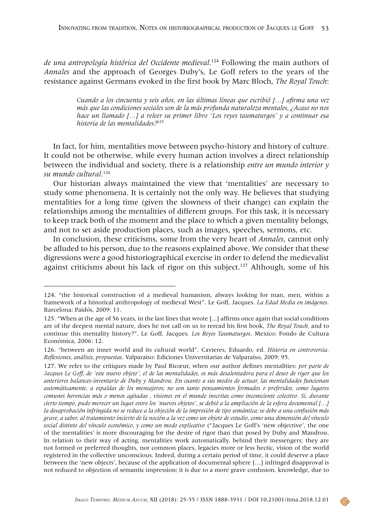*de una antropología histórica del Occidente medieval.*124 Following the main authors of *Annales* and the approach of Georges Duby's, Le Goff refers to the years of the resistance against Germans evoked in the first book by Marc Bloch, *The Royal Touch*:

> *Cuando a los cincuenta y seis años, en las últimas líneas que escribió […] afirma una vez más que las condiciones sociales son de la más profunda naturaleza mentales, ¿Acaso no nos hace un llamado […] a releer su primer libro 'Los reyes taumaturgos' y a continuar esa historia de las mentalidades?*<sup>125</sup>

In fact, for him, mentalities move between psycho-history and history of culture. It could not be otherwise, while every human action involves a direct relationship between the individual and society, there is a relationship *entre un mundo interior y su mundo cultural.*<sup>126</sup>

Our historian always maintained the view that 'mentalities' are necessary to study some phenomena. It is certainly not the only way. He believes that studying mentalities for a long time (given the slowness of their change) can explain the relationships among the mentalities of different groups. For this task, it is necessary to keep track both of the moment and the place to which a given mentality belongs, and not to set aside production places, such as images, speeches, sermons, etc.

In conclusion, these criticisms, some from the very heart of *Annales*, cannot only be alluded to his person, due to the reasons explained above. We consider that these digressions were a good historiographical exercise in order to defend the medievalist against criticisms about his lack of rigor on this subject.127 Although, some of his

<sup>124. &</sup>quot;the historical construction of a medieval humanism, always looking for man, men, within a framework of a historical anthropology of medieval West". Le Goff, Jacques. *La Edad Media en imágenes*. Barcelona: Paidós, 2009: 11.

<sup>125. &</sup>quot;When at the age of 56 years, in the last lines that wrote [...] affirms once again that social conditions are of the deepest mental nature, does he not call on us to reread his first book, *The Royal Touch,* and to continue this mentality history?". Le Goff, Jacques. *Los Reyes Taumaturgos*. Mexico: Fondo de Cultura Económica, 2006: 12.

<sup>126. &</sup>quot;between an inner world and its cultural world". Cavieres, Eduardo, ed. *Historia en controversia. Reflexiones, análisis, propuestas*. Valparaiso: Ediciones Universitarias de Valparaíso, 2009: 95.

<sup>127.</sup> We refer to the critiques made by Paul Ricœur, when our author defines mentalities: *por parte de Jacques Le Goff, de 'este nuevo objeto', el de las mentalidades, es más desalentadora para el deseo de rigor que los anteriores balances-inventario de Duby y Mandrou. En cuanto a sus modos de actuar, las mentalidades funcionan automáticamente, a espaldas de los mensajeros; no son tanto pensamientos formados o preferidos, como lugares comunes herencias más o menos agitadas , visiones en el mundo inscritas como inconsciente colectivo. Si, durante cierto tiempo, pudo merecer un lugar entre los 'nuevos objetos', se debió a la ampliación de la esfera documental […] la desaprobación infringida no se reduce a la objeción de la impresión de tipo semántica; se debe a una confusión más grave, a saber, al tratamiento incierto de la noción a la vez como un objeto de estudio, como una dimensión del vínculo social distinto del vínculo económico, y como un modo explicativo* ("Jacques Le Goff's 'new objective', the one of the mentalities' is more discouraging for the desire of rigor than that posed by Duby and Mandrou. In relation to their way of acting, mentalities work automatically, behind their messengers; they are not formed or preferred thoughts, nor common places, legacies more or less hectic, vision of the world registered in the collective unconscious. Indeed, during a certain period of time, it could deserve a place between the 'new objects', because of the application of documental sphere […] infringed disapproval is not reduced to objection of semantic impression; it is due to a more grave confusion, knowledge, due to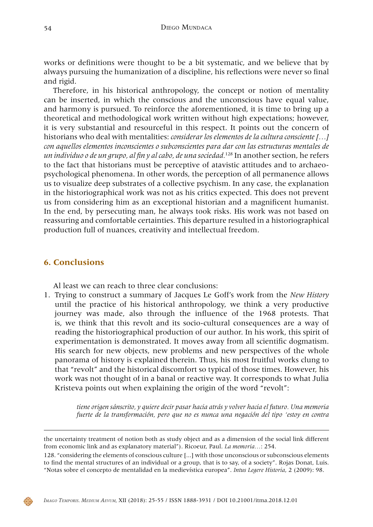works or definitions were thought to be a bit systematic, and we believe that by always pursuing the humanization of a discipline, his reflections were never so final and rigid.

Therefore, in his historical anthropology, the concept or notion of mentality can be inserted, in which the conscious and the unconscious have equal value, and harmony is pursued. To reinforce the aforementioned, it is time to bring up a theoretical and methodological work written without high expectations; however, it is very substantial and resourceful in this respect. It points out the concern of historians who deal with mentalities: *considerar los elementos de la cultura consciente […] con aquellos elementos inconscientes o subconscientes para dar con las estructuras mentales de un individuo o de un grupo, al fin y al cabo, de una sociedad.*128 In another section, he refers to the fact that historians must be perceptive of atavistic attitudes and to archaeopsychological phenomena. In other words, the perception of all permanence allows us to visualize deep substrates of a collective psychism. In any case, the explanation in the historiographical work was not as his critics expected. This does not prevent us from considering him as an exceptional historian and a magnificent humanist. In the end, by persecuting man, he always took risks. His work was not based on reassuring and comfortable certainties. This departure resulted in a historiographical production full of nuances, creativity and intellectual freedom.

### **6. Conclusions**

Al least we can reach to three clear conclusions:

1. Trying to construct a summary of Jacques Le Goff's work from the *New History* until the practice of his historical anthropology, we think a very productive journey was made, also through the influence of the 1968 protests. That is, we think that this revolt and its socio-cultural consequences are a way of reading the historiographical production of our author. In his work, this spirit of experimentation is demonstrated. It moves away from all scientific dogmatism. His search for new objects, new problems and new perspectives of the whole panorama of history is explained therein. Thus, his most fruitful works clung to that "revolt" and the historical discomfort so typical of those times. However, his work was not thought of in a banal or reactive way. It corresponds to what Julia Kristeva points out when explaining the origin of the word "revolt":

> *tiene origen sánscrito, y quiere decir pasar hacia atrás y volver hacia el futuro. Una memoria fuerte de la transformación, pero que no es nunca una negación del tipo 'estoy en contra*

the uncertainty treatment of notion both as study object and as a dimension of the social link different from economic link and as explanatory material"). Ricoeur, Paul. *La memoria…*: 254.

<sup>128. &</sup>quot;considering the elements of conscious culture [...] with those unconscious or subconscious elements to find the mental structures of an individual or a group, that is to say, of a society". Rojas Donat, Luis. "Notas sobre el concepto de mentalidad en la medievística europea". *Intus Legere Historia*, 2 (2009): 98.